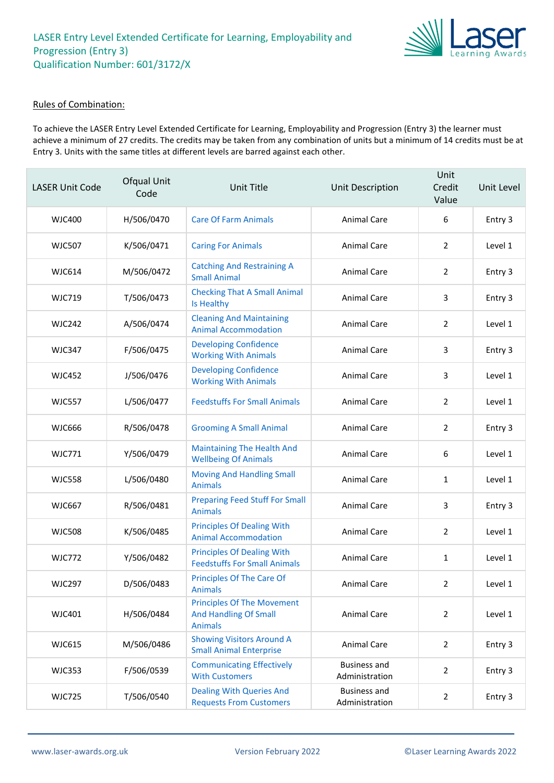

### Rules of Combination:

To achieve the LASER Entry Level Extended Certificate for Learning, Employability and Progression (Entry 3) the learner must achieve a minimum of 27 credits. The credits may be taken from any combination of units but a minimum of 14 credits must be at Entry 3. Units with the same titles at different levels are barred against each other.

| <b>LASER Unit Code</b> | Ofqual Unit<br>Code | Unit Title                                                                          | Unit Description                      | Unit<br>Credit<br>Value | Unit Level |
|------------------------|---------------------|-------------------------------------------------------------------------------------|---------------------------------------|-------------------------|------------|
| WJC400                 | H/506/0470          | <b>Care Of Farm Animals</b>                                                         | <b>Animal Care</b>                    | 6                       | Entry 3    |
| <b>WJC507</b>          | K/506/0471          | <b>Caring For Animals</b>                                                           | <b>Animal Care</b>                    | 2                       | Level 1    |
| <b>WJC614</b>          | M/506/0472          | <b>Catching And Restraining A</b><br><b>Small Animal</b>                            | Animal Care                           | 2                       | Entry 3    |
| <b>WJC719</b>          | T/506/0473          | <b>Checking That A Small Animal</b><br>Is Healthy                                   | Animal Care                           | 3                       | Entry 3    |
| <b>WJC242</b>          | A/506/0474          | <b>Cleaning And Maintaining</b><br><b>Animal Accommodation</b>                      | <b>Animal Care</b>                    | $\overline{2}$          | Level 1    |
| <b>WJC347</b>          | F/506/0475          | <b>Developing Confidence</b><br><b>Working With Animals</b>                         | <b>Animal Care</b>                    | 3                       | Entry 3    |
| <b>WJC452</b>          | J/506/0476          | <b>Developing Confidence</b><br><b>Working With Animals</b>                         | Animal Care                           | 3                       | Level 1    |
| <b>WJC557</b>          | L/506/0477          | <b>Feedstuffs For Small Animals</b>                                                 | Animal Care                           | $\overline{2}$          | Level 1    |
| <b>WJC666</b>          | R/506/0478          | <b>Grooming A Small Animal</b>                                                      | Animal Care                           | 2                       | Entry 3    |
| <b>WJC771</b>          | Y/506/0479          | <b>Maintaining The Health And</b><br><b>Wellbeing Of Animals</b>                    | Animal Care                           | 6                       | Level 1    |
| <b>WJC558</b>          | L/506/0480          | <b>Moving And Handling Small</b><br><b>Animals</b>                                  | Animal Care                           | 1                       | Level 1    |
| <b>WJC667</b>          | R/506/0481          | <b>Preparing Feed Stuff For Small</b><br><b>Animals</b>                             | Animal Care                           | 3                       | Entry 3    |
| <b>WJC508</b>          | K/506/0485          | <b>Principles Of Dealing With</b><br><b>Animal Accommodation</b>                    | Animal Care                           | $\overline{2}$          | Level 1    |
| <b>WJC772</b>          | Y/506/0482          | <b>Principles Of Dealing With</b><br><b>Feedstuffs For Small Animals</b>            | <b>Animal Care</b>                    | 1                       | Level 1    |
| <b>WJC297</b>          | D/506/0483          | <b>Principles Of The Care Of</b><br><b>Animals</b>                                  | Animal Care                           | $\mathcal{P}$           | Level 1    |
| WJC401                 | H/506/0484          | <b>Principles Of The Movement</b><br><b>And Handling Of Small</b><br><b>Animals</b> | Animal Care                           | $\overline{2}$          | Level 1    |
| <b>WJC615</b>          | M/506/0486          | <b>Showing Visitors Around A</b><br><b>Small Animal Enterprise</b>                  | Animal Care                           | $\overline{2}$          | Entry 3    |
| <b>WJC353</b>          | F/506/0539          | <b>Communicating Effectively</b><br><b>With Customers</b>                           | <b>Business and</b><br>Administration | $\overline{2}$          | Entry 3    |
| <b>WJC725</b>          | T/506/0540          | <b>Dealing With Queries And</b><br><b>Requests From Customers</b>                   | <b>Business and</b><br>Administration | $\overline{2}$          | Entry 3    |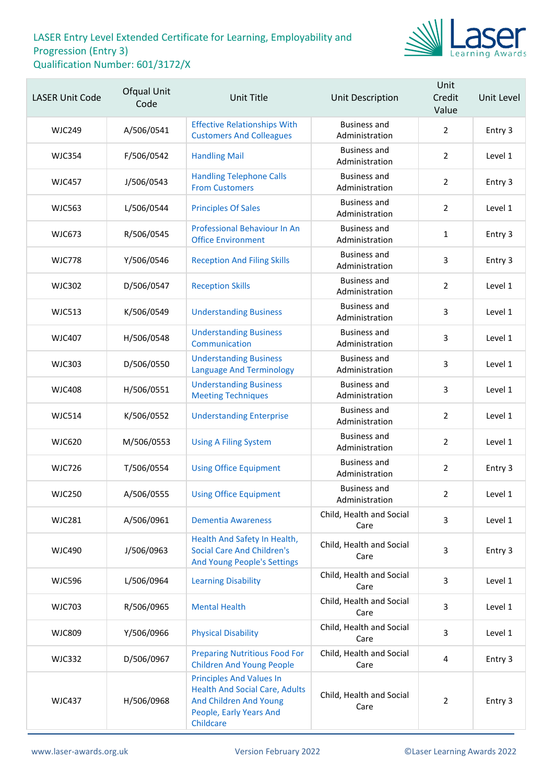

| <b>LASER Unit Code</b> | Ofqual Unit<br>Code | <b>Unit Title</b>                                                                                                                          | Unit Description                      | Unit<br>Credit<br>Value | Unit Level |
|------------------------|---------------------|--------------------------------------------------------------------------------------------------------------------------------------------|---------------------------------------|-------------------------|------------|
| <b>WJC249</b>          | A/506/0541          | <b>Effective Relationships With</b><br><b>Customers And Colleagues</b>                                                                     | <b>Business and</b><br>Administration | $\overline{2}$          | Entry 3    |
| <b>WJC354</b>          | F/506/0542          | <b>Handling Mail</b>                                                                                                                       | <b>Business and</b><br>Administration | $\overline{2}$          | Level 1    |
| <b>WJC457</b>          | J/506/0543          | <b>Handling Telephone Calls</b><br><b>From Customers</b>                                                                                   | <b>Business and</b><br>Administration | $\overline{2}$          | Entry 3    |
| <b>WJC563</b>          | L/506/0544          | <b>Principles Of Sales</b>                                                                                                                 | Business and<br>Administration        | $\overline{2}$          | Level 1    |
| <b>WJC673</b>          | R/506/0545          | Professional Behaviour In An<br><b>Office Environment</b>                                                                                  | <b>Business and</b><br>Administration | $\mathbf{1}$            | Entry 3    |
| <b>WJC778</b>          | Y/506/0546          | <b>Reception And Filing Skills</b>                                                                                                         | <b>Business and</b><br>Administration | 3                       | Entry 3    |
| <b>WJC302</b>          | D/506/0547          | <b>Reception Skills</b>                                                                                                                    | <b>Business and</b><br>Administration | $\overline{2}$          | Level 1    |
| <b>WJC513</b>          | K/506/0549          | <b>Understanding Business</b>                                                                                                              | <b>Business and</b><br>Administration | 3                       | Level 1    |
| <b>WJC407</b>          | H/506/0548          | <b>Understanding Business</b><br>Communication                                                                                             | <b>Business and</b><br>Administration | 3                       | Level 1    |
| <b>WJC303</b>          | D/506/0550          | <b>Understanding Business</b><br><b>Language And Terminology</b>                                                                           | Business and<br>Administration        | 3                       | Level 1    |
| <b>WJC408</b>          | H/506/0551          | <b>Understanding Business</b><br><b>Meeting Techniques</b>                                                                                 | <b>Business and</b><br>Administration | 3                       | Level 1    |
| <b>WJC514</b>          | K/506/0552          | <b>Understanding Enterprise</b>                                                                                                            | <b>Business and</b><br>Administration | $\overline{2}$          | Level 1    |
| <b>WJC620</b>          | M/506/0553          | <b>Using A Filing System</b>                                                                                                               | Business and<br>Administration        | $\overline{2}$          | Level 1    |
| <b>WJC726</b>          | T/506/0554          | <b>Using Office Equipment</b>                                                                                                              | <b>Business and</b><br>Administration | $\overline{2}$          | Entry 3    |
| <b>WJC250</b>          | A/506/0555          | <b>Using Office Equipment</b>                                                                                                              | <b>Business and</b><br>Administration | $\overline{2}$          | Level 1    |
| <b>WJC281</b>          | A/506/0961          | <b>Dementia Awareness</b>                                                                                                                  | Child, Health and Social<br>Care      | 3                       | Level 1    |
| <b>WJC490</b>          | J/506/0963          | Health And Safety In Health,<br><b>Social Care And Children's</b><br><b>And Young People's Settings</b>                                    | Child, Health and Social<br>Care      | 3                       | Entry 3    |
| <b>WJC596</b>          | L/506/0964          | <b>Learning Disability</b>                                                                                                                 | Child, Health and Social<br>Care      | 3                       | Level 1    |
| <b>WJC703</b>          | R/506/0965          | <b>Mental Health</b>                                                                                                                       | Child, Health and Social<br>Care      | 3                       | Level 1    |
| <b>WJC809</b>          | Y/506/0966          | <b>Physical Disability</b>                                                                                                                 | Child, Health and Social<br>Care      | 3                       | Level 1    |
| <b>WJC332</b>          | D/506/0967          | <b>Preparing Nutritious Food For</b><br><b>Children And Young People</b>                                                                   | Child, Health and Social<br>Care      | 4                       | Entry 3    |
| <b>WJC437</b>          | H/506/0968          | <b>Principles And Values In</b><br><b>Health And Social Care, Adults</b><br>And Children And Young<br>People, Early Years And<br>Childcare | Child, Health and Social<br>Care      | $\overline{2}$          | Entry 3    |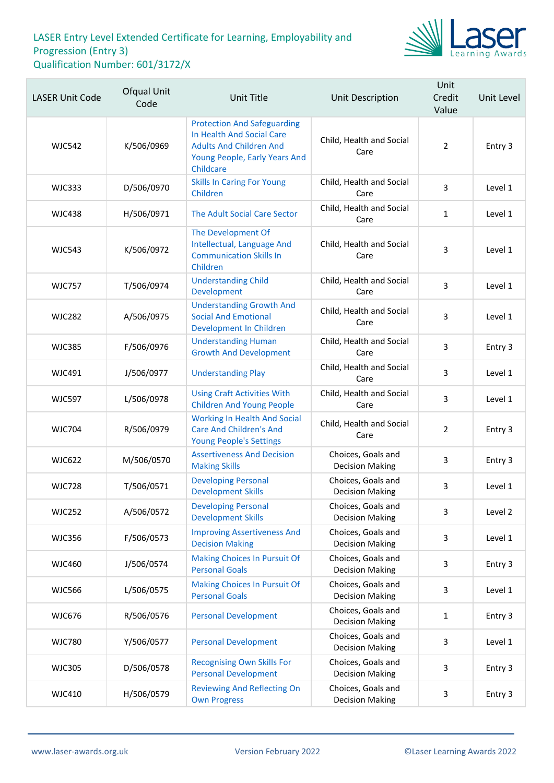

| <b>LASER Unit Code</b> | Ofqual Unit<br>Code | <b>Unit Title</b>                                                                                                                               | Unit Description                             | Unit<br>Credit<br>Value | Unit Level |
|------------------------|---------------------|-------------------------------------------------------------------------------------------------------------------------------------------------|----------------------------------------------|-------------------------|------------|
| <b>WJC542</b>          | K/506/0969          | <b>Protection And Safeguarding</b><br>In Health And Social Care<br><b>Adults And Children And</b><br>Young People, Early Years And<br>Childcare | Child, Health and Social<br>Care             | $\overline{2}$          | Entry 3    |
| <b>WJC333</b>          | D/506/0970          | <b>Skills In Caring For Young</b><br>Children                                                                                                   | Child, Health and Social<br>Care             | 3                       | Level 1    |
| <b>WJC438</b>          | H/506/0971          | The Adult Social Care Sector                                                                                                                    | Child, Health and Social<br>Care             | $\mathbf{1}$            | Level 1    |
| <b>WJC543</b>          | K/506/0972          | The Development Of<br>Intellectual, Language And<br><b>Communication Skills In</b><br>Children                                                  | Child, Health and Social<br>Care             | 3                       | Level 1    |
| <b>WJC757</b>          | T/506/0974          | <b>Understanding Child</b><br>Development                                                                                                       | Child, Health and Social<br>Care             | 3                       | Level 1    |
| <b>WJC282</b>          | A/506/0975          | <b>Understanding Growth And</b><br><b>Social And Emotional</b><br>Development In Children                                                       | Child, Health and Social<br>Care             | 3                       | Level 1    |
| <b>WJC385</b>          | F/506/0976          | <b>Understanding Human</b><br><b>Growth And Development</b>                                                                                     | Child, Health and Social<br>Care             | 3                       | Entry 3    |
| <b>WJC491</b>          | J/506/0977          | <b>Understanding Play</b>                                                                                                                       | Child, Health and Social<br>Care             | 3                       | Level 1    |
| <b>WJC597</b>          | L/506/0978          | <b>Using Craft Activities With</b><br><b>Children And Young People</b>                                                                          | Child, Health and Social<br>Care             | 3                       | Level 1    |
| <b>WJC704</b>          | R/506/0979          | <b>Working In Health And Social</b><br><b>Care And Children's And</b><br><b>Young People's Settings</b>                                         | Child, Health and Social<br>Care             | $\overline{2}$          | Entry 3    |
| <b>WJC622</b>          | M/506/0570          | <b>Assertiveness And Decision</b><br><b>Making Skills</b>                                                                                       | Choices, Goals and<br><b>Decision Making</b> | 3                       | Entry 3    |
| <b>WJC728</b>          | T/506/0571          | <b>Developing Personal</b><br><b>Development Skills</b>                                                                                         | Choices, Goals and<br><b>Decision Making</b> | 3                       | Level 1    |
| <b>WJC252</b>          | A/506/0572          | <b>Developing Personal</b><br><b>Development Skills</b>                                                                                         | Choices, Goals and<br><b>Decision Making</b> | 3                       | Level 2    |
| <b>WJC356</b>          | F/506/0573          | <b>Improving Assertiveness And</b><br><b>Decision Making</b>                                                                                    | Choices, Goals and<br><b>Decision Making</b> | 3                       | Level 1    |
| <b>WJC460</b>          | J/506/0574          | <b>Making Choices In Pursuit Of</b><br><b>Personal Goals</b>                                                                                    | Choices, Goals and<br><b>Decision Making</b> | 3                       | Entry 3    |
| <b>WJC566</b>          | L/506/0575          | <b>Making Choices In Pursuit Of</b><br><b>Personal Goals</b>                                                                                    | Choices, Goals and<br><b>Decision Making</b> | 3                       | Level 1    |
| <b>WJC676</b>          | R/506/0576          | <b>Personal Development</b>                                                                                                                     | Choices, Goals and<br><b>Decision Making</b> | $\mathbf{1}$            | Entry 3    |
| <b>WJC780</b>          | Y/506/0577          | <b>Personal Development</b>                                                                                                                     | Choices, Goals and<br><b>Decision Making</b> | 3                       | Level 1    |
| <b>WJC305</b>          | D/506/0578          | <b>Recognising Own Skills For</b><br><b>Personal Development</b>                                                                                | Choices, Goals and<br><b>Decision Making</b> | 3                       | Entry 3    |
| <b>WJC410</b>          | H/506/0579          | <b>Reviewing And Reflecting On</b><br><b>Own Progress</b>                                                                                       | Choices, Goals and<br><b>Decision Making</b> | 3                       | Entry 3    |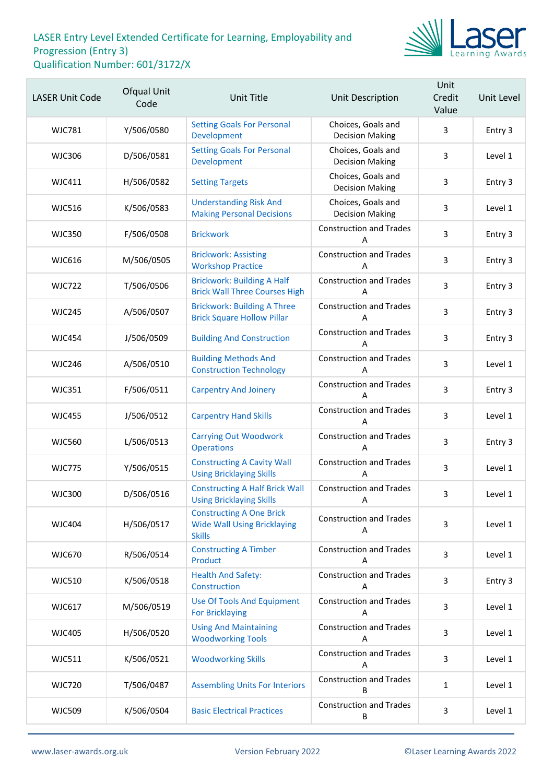

| <b>LASER Unit Code</b> | Ofqual Unit<br>Code | <b>Unit Title</b>                                                                      | Unit Description                             | Unit<br>Credit<br>Value | Unit Level |
|------------------------|---------------------|----------------------------------------------------------------------------------------|----------------------------------------------|-------------------------|------------|
| <b>WJC781</b>          | Y/506/0580          | <b>Setting Goals For Personal</b><br>Development                                       | Choices, Goals and<br><b>Decision Making</b> | 3                       | Entry 3    |
| <b>WJC306</b>          | D/506/0581          | <b>Setting Goals For Personal</b><br>Development                                       | Choices, Goals and<br><b>Decision Making</b> | 3                       | Level 1    |
| WJC411                 | H/506/0582          | <b>Setting Targets</b>                                                                 | Choices, Goals and<br><b>Decision Making</b> | 3                       | Entry 3    |
| <b>WJC516</b>          | K/506/0583          | <b>Understanding Risk And</b><br><b>Making Personal Decisions</b>                      | Choices, Goals and<br><b>Decision Making</b> | 3                       | Level 1    |
| <b>WJC350</b>          | F/506/0508          | <b>Brickwork</b>                                                                       | <b>Construction and Trades</b><br>Α          | $\overline{3}$          | Entry 3    |
| <b>WJC616</b>          | M/506/0505          | <b>Brickwork: Assisting</b><br><b>Workshop Practice</b>                                | <b>Construction and Trades</b><br>А          | 3                       | Entry 3    |
| <b>WJC722</b>          | T/506/0506          | <b>Brickwork: Building A Half</b><br><b>Brick Wall Three Courses High</b>              | <b>Construction and Trades</b><br>Α          | 3                       | Entry 3    |
| <b>WJC245</b>          | A/506/0507          | <b>Brickwork: Building A Three</b><br><b>Brick Square Hollow Pillar</b>                | <b>Construction and Trades</b><br>Α          | $\overline{3}$          | Entry 3    |
| <b>WJC454</b>          | J/506/0509          | <b>Building And Construction</b>                                                       | <b>Construction and Trades</b><br>А          | 3                       | Entry 3    |
| <b>WJC246</b>          | A/506/0510          | <b>Building Methods And</b><br><b>Construction Technology</b>                          | <b>Construction and Trades</b><br>А          | 3                       | Level 1    |
| <b>WJC351</b>          | F/506/0511          | <b>Carpentry And Joinery</b>                                                           | <b>Construction and Trades</b><br>Α          | $\overline{3}$          | Entry 3    |
| <b>WJC455</b>          | J/506/0512          | <b>Carpentry Hand Skills</b>                                                           | <b>Construction and Trades</b><br>А          | 3                       | Level 1    |
| <b>WJC560</b>          | L/506/0513          | <b>Carrying Out Woodwork</b><br><b>Operations</b>                                      | <b>Construction and Trades</b><br>Α          | 3                       | Entry 3    |
| <b>WJC775</b>          | Y/506/0515          | <b>Constructing A Cavity Wall</b><br><b>Using Bricklaying Skills</b>                   | <b>Construction and Trades</b><br>А          | 3                       | Level 1    |
| <b>WJC300</b>          | D/506/0516          | <b>Constructing A Half Brick Wall</b><br><b>Using Bricklaying Skills</b>               | <b>Construction and Trades</b><br>Α          | 3                       | Level 1    |
| <b>WJC404</b>          | H/506/0517          | <b>Constructing A One Brick</b><br><b>Wide Wall Using Bricklaying</b><br><b>Skills</b> | <b>Construction and Trades</b><br>Α          | 3                       | Level 1    |
| <b>WJC670</b>          | R/506/0514          | <b>Constructing A Timber</b><br>Product                                                | <b>Construction and Trades</b><br>A          | 3                       | Level 1    |
| <b>WJC510</b>          | K/506/0518          | <b>Health And Safety:</b><br>Construction                                              | <b>Construction and Trades</b><br>A          | 3                       | Entry 3    |
| <b>WJC617</b>          | M/506/0519          | <b>Use Of Tools And Equipment</b><br><b>For Bricklaying</b>                            | <b>Construction and Trades</b><br>Α          | 3                       | Level 1    |
| <b>WJC405</b>          | H/506/0520          | <b>Using And Maintaining</b><br><b>Woodworking Tools</b>                               | <b>Construction and Trades</b><br>A          | 3                       | Level 1    |
| <b>WJC511</b>          | K/506/0521          | <b>Woodworking Skills</b>                                                              | <b>Construction and Trades</b><br>A          | 3                       | Level 1    |
| <b>WJC720</b>          | T/506/0487          | <b>Assembling Units For Interiors</b>                                                  | <b>Construction and Trades</b><br>В          | $\mathbf{1}$            | Level 1    |
| <b>WJC509</b>          | K/506/0504          | <b>Basic Electrical Practices</b>                                                      | <b>Construction and Trades</b><br>В          | $\mathbf{3}$            | Level 1    |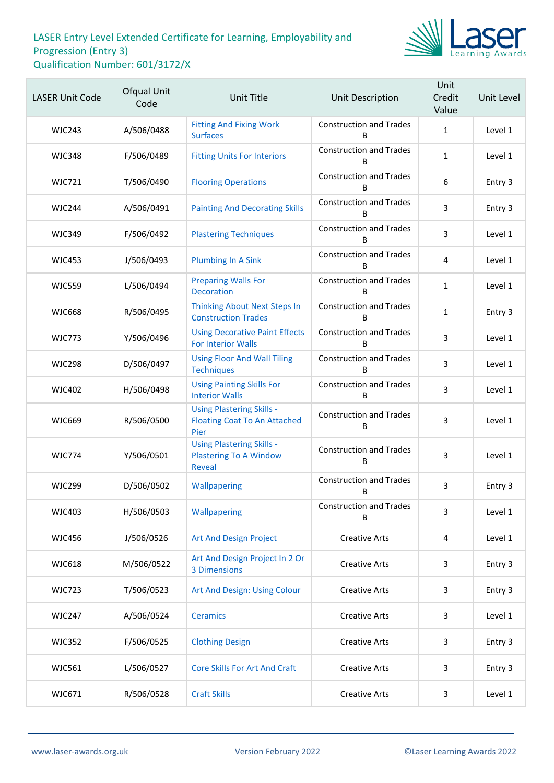

| <b>LASER Unit Code</b> | Ofqual Unit<br>Code | <b>Unit Title</b>                                                               | Unit Description                    | Unit<br>Credit<br>Value | Unit Level |
|------------------------|---------------------|---------------------------------------------------------------------------------|-------------------------------------|-------------------------|------------|
| <b>WJC243</b>          | A/506/0488          | <b>Fitting And Fixing Work</b><br><b>Surfaces</b>                               | <b>Construction and Trades</b><br>B | $\mathbf{1}$            | Level 1    |
| <b>WJC348</b>          | F/506/0489          | <b>Fitting Units For Interiors</b>                                              | <b>Construction and Trades</b><br>B | $\mathbf{1}$            | Level 1    |
| <b>WJC721</b>          | T/506/0490          | <b>Flooring Operations</b>                                                      | <b>Construction and Trades</b><br>B | $\boldsymbol{6}$        | Entry 3    |
| <b>WJC244</b>          | A/506/0491          | <b>Painting And Decorating Skills</b>                                           | <b>Construction and Trades</b><br>B | 3                       | Entry 3    |
| <b>WJC349</b>          | F/506/0492          | <b>Plastering Techniques</b>                                                    | <b>Construction and Trades</b><br>B | 3                       | Level 1    |
| <b>WJC453</b>          | J/506/0493          | <b>Plumbing In A Sink</b>                                                       | <b>Construction and Trades</b><br>B | 4                       | Level 1    |
| <b>WJC559</b>          | L/506/0494          | <b>Preparing Walls For</b><br><b>Decoration</b>                                 | <b>Construction and Trades</b><br>B | $\mathbf{1}$            | Level 1    |
| <b>WJC668</b>          | R/506/0495          | <b>Thinking About Next Steps In</b><br><b>Construction Trades</b>               | <b>Construction and Trades</b><br>B | $\mathbf{1}$            | Entry 3    |
| <b>WJC773</b>          | Y/506/0496          | <b>Using Decorative Paint Effects</b><br><b>For Interior Walls</b>              | <b>Construction and Trades</b><br>B | 3                       | Level 1    |
| <b>WJC298</b>          | D/506/0497          | <b>Using Floor And Wall Tiling</b><br><b>Techniques</b>                         | <b>Construction and Trades</b><br>B | 3                       | Level 1    |
| <b>WJC402</b>          | H/506/0498          | <b>Using Painting Skills For</b><br><b>Interior Walls</b>                       | <b>Construction and Trades</b><br>B | 3                       | Level 1    |
| <b>WJC669</b>          | R/506/0500          | <b>Using Plastering Skills -</b><br><b>Floating Coat To An Attached</b><br>Pier | <b>Construction and Trades</b><br>B | 3                       | Level 1    |
| <b>WJC774</b>          | Y/506/0501          | <b>Using Plastering Skills -</b><br><b>Plastering To A Window</b><br>Reveal     | <b>Construction and Trades</b><br>В | 3                       | Level 1    |
| <b>WJC299</b>          | D/506/0502          | Wallpapering                                                                    | <b>Construction and Trades</b><br>В | 3                       | Entry 3    |
| <b>WJC403</b>          | H/506/0503          | Wallpapering                                                                    | <b>Construction and Trades</b><br>B | 3                       | Level 1    |
| <b>WJC456</b>          | J/506/0526          | Art And Design Project                                                          | <b>Creative Arts</b>                | 4                       | Level 1    |
| <b>WJC618</b>          | M/506/0522          | Art And Design Project In 2 Or<br>3 Dimensions                                  | <b>Creative Arts</b>                | 3                       | Entry 3    |
| <b>WJC723</b>          | T/506/0523          | Art And Design: Using Colour                                                    | <b>Creative Arts</b>                | 3                       | Entry 3    |
| <b>WJC247</b>          | A/506/0524          | <b>Ceramics</b>                                                                 | <b>Creative Arts</b>                | 3                       | Level 1    |
| <b>WJC352</b>          | F/506/0525          | <b>Clothing Design</b>                                                          | <b>Creative Arts</b>                | 3                       | Entry 3    |
| WJC561                 | L/506/0527          | <b>Core Skills For Art And Craft</b>                                            | <b>Creative Arts</b>                | 3                       | Entry 3    |
| WJC671                 | R/506/0528          | <b>Craft Skills</b>                                                             | <b>Creative Arts</b>                | 3                       | Level 1    |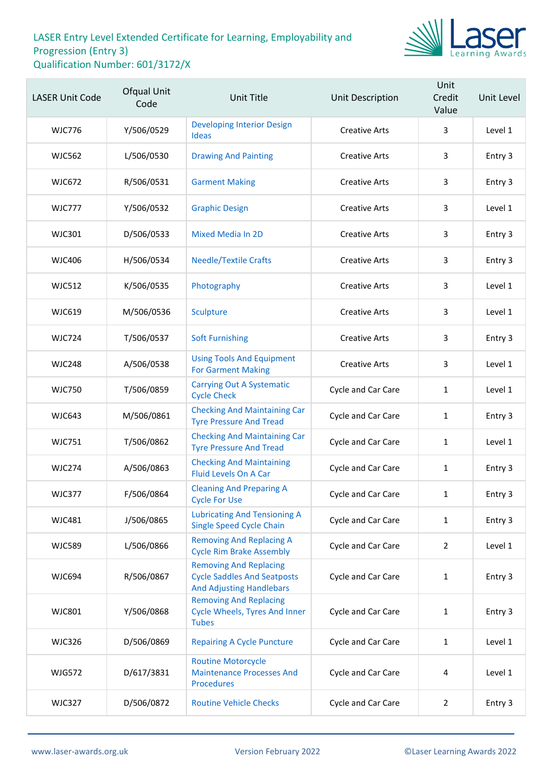

| <b>LASER Unit Code</b> | Ofqual Unit<br>Code | <b>Unit Title</b>                                                                                      | Unit Description          | Unit<br>Credit<br>Value | Unit Level |
|------------------------|---------------------|--------------------------------------------------------------------------------------------------------|---------------------------|-------------------------|------------|
| <b>WJC776</b>          | Y/506/0529          | <b>Developing Interior Design</b><br><b>Ideas</b>                                                      | <b>Creative Arts</b>      | 3                       | Level 1    |
| <b>WJC562</b>          | L/506/0530          | <b>Drawing And Painting</b>                                                                            | <b>Creative Arts</b>      | 3                       | Entry 3    |
| WJC672                 | R/506/0531          | <b>Garment Making</b>                                                                                  | <b>Creative Arts</b>      | 3                       | Entry 3    |
| <b>WJC777</b>          | Y/506/0532          | <b>Graphic Design</b>                                                                                  | <b>Creative Arts</b>      | 3                       | Level 1    |
| <b>WJC301</b>          | D/506/0533          | <b>Mixed Media In 2D</b>                                                                               | <b>Creative Arts</b>      | 3                       | Entry 3    |
| <b>WJC406</b>          | H/506/0534          | <b>Needle/Textile Crafts</b>                                                                           | <b>Creative Arts</b>      | 3                       | Entry 3    |
| <b>WJC512</b>          | K/506/0535          | Photography                                                                                            | <b>Creative Arts</b>      | 3                       | Level 1    |
| <b>WJC619</b>          | M/506/0536          | Sculpture                                                                                              | <b>Creative Arts</b>      | 3                       | Level 1    |
| <b>WJC724</b>          | T/506/0537          | <b>Soft Furnishing</b>                                                                                 | <b>Creative Arts</b>      | 3                       | Entry 3    |
| <b>WJC248</b>          | A/506/0538          | <b>Using Tools And Equipment</b><br><b>For Garment Making</b>                                          | <b>Creative Arts</b>      | 3                       | Level 1    |
| <b>WJC750</b>          | T/506/0859          | <b>Carrying Out A Systematic</b><br><b>Cycle Check</b>                                                 | Cycle and Car Care        | $\mathbf{1}$            | Level 1    |
| <b>WJC643</b>          | M/506/0861          | <b>Checking And Maintaining Car</b><br><b>Tyre Pressure And Tread</b>                                  | Cycle and Car Care        | $\mathbf{1}$            | Entry 3    |
| <b>WJC751</b>          | T/506/0862          | <b>Checking And Maintaining Car</b><br><b>Tyre Pressure And Tread</b>                                  | Cycle and Car Care        | 1                       | Level 1    |
| <b>WJC274</b>          | A/506/0863          | <b>Checking And Maintaining</b><br>Fluid Levels On A Car                                               | Cycle and Car Care        | 1                       | Entry 3    |
| <b>WJC377</b>          | F/506/0864          | <b>Cleaning And Preparing A</b><br><b>Cycle For Use</b>                                                | <b>Cycle and Car Care</b> | $\mathbf{1}$            | Entry 3    |
| <b>WJC481</b>          | J/506/0865          | <b>Lubricating And Tensioning A</b><br><b>Single Speed Cycle Chain</b>                                 | Cycle and Car Care        | 1                       | Entry 3    |
| <b>WJC589</b>          | L/506/0866          | <b>Removing And Replacing A</b><br><b>Cycle Rim Brake Assembly</b>                                     | Cycle and Car Care        | $\overline{2}$          | Level 1    |
| <b>WJC694</b>          | R/506/0867          | <b>Removing And Replacing</b><br><b>Cycle Saddles And Seatposts</b><br><b>And Adjusting Handlebars</b> | Cycle and Car Care        | $\mathbf{1}$            | Entry 3    |
| <b>WJC801</b>          | Y/506/0868          | <b>Removing And Replacing</b><br><b>Cycle Wheels, Tyres And Inner</b><br><b>Tubes</b>                  | Cycle and Car Care        | 1                       | Entry 3    |
| <b>WJC326</b>          | D/506/0869          | <b>Repairing A Cycle Puncture</b>                                                                      | Cycle and Car Care        | 1                       | Level 1    |
| <b>WJG572</b>          | D/617/3831          | <b>Routine Motorcycle</b><br><b>Maintenance Processes And</b><br><b>Procedures</b>                     | Cycle and Car Care        | 4                       | Level 1    |
| <b>WJC327</b>          | D/506/0872          | <b>Routine Vehicle Checks</b>                                                                          | Cycle and Car Care        | $\overline{2}$          | Entry 3    |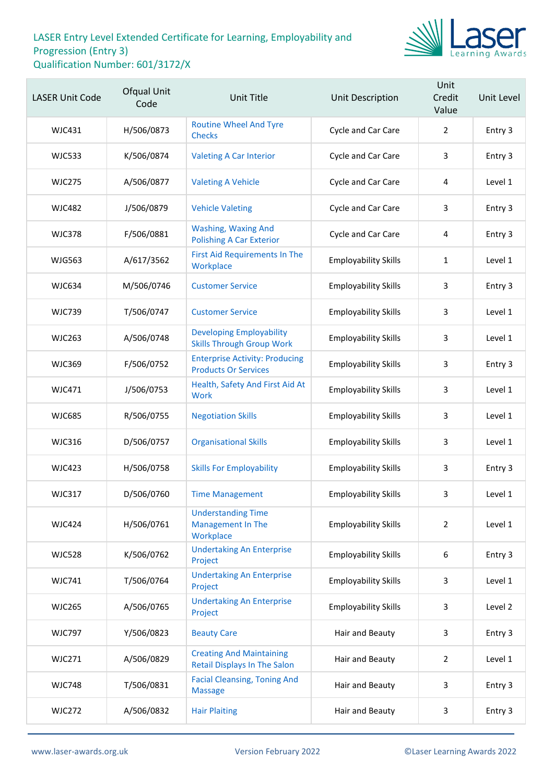

| <b>LASER Unit Code</b> | Ofqual Unit<br>Code | Unit Title                                                             | Unit Description            | Unit<br>Credit<br>Value | Unit Level |
|------------------------|---------------------|------------------------------------------------------------------------|-----------------------------|-------------------------|------------|
| <b>WJC431</b>          | H/506/0873          | <b>Routine Wheel And Tyre</b><br><b>Checks</b>                         | Cycle and Car Care          | $\overline{2}$          | Entry 3    |
| <b>WJC533</b>          | K/506/0874          | <b>Valeting A Car Interior</b>                                         | Cycle and Car Care          | 3                       | Entry 3    |
| <b>WJC275</b>          | A/506/0877          | <b>Valeting A Vehicle</b>                                              | Cycle and Car Care          | 4                       | Level 1    |
| <b>WJC482</b>          | J/506/0879          | <b>Vehicle Valeting</b>                                                | Cycle and Car Care          | 3                       | Entry 3    |
| <b>WJC378</b>          | F/506/0881          | <b>Washing, Waxing And</b><br><b>Polishing A Car Exterior</b>          | Cycle and Car Care          | 4                       | Entry 3    |
| <b>WJG563</b>          | A/617/3562          | <b>First Aid Requirements In The</b><br>Workplace                      | <b>Employability Skills</b> | 1                       | Level 1    |
| <b>WJC634</b>          | M/506/0746          | <b>Customer Service</b>                                                | <b>Employability Skills</b> | 3                       | Entry 3    |
| <b>WJC739</b>          | T/506/0747          | <b>Customer Service</b>                                                | <b>Employability Skills</b> | 3                       | Level 1    |
| <b>WJC263</b>          | A/506/0748          | <b>Developing Employability</b><br><b>Skills Through Group Work</b>    | <b>Employability Skills</b> | 3                       | Level 1    |
| <b>WJC369</b>          | F/506/0752          | <b>Enterprise Activity: Producing</b><br><b>Products Or Services</b>   | <b>Employability Skills</b> | 3                       | Entry 3    |
| WJC471                 | J/506/0753          | Health, Safety And First Aid At<br>Work                                | <b>Employability Skills</b> | 3                       | Level 1    |
| <b>WJC685</b>          | R/506/0755          | <b>Negotiation Skills</b>                                              | <b>Employability Skills</b> | 3                       | Level 1    |
| <b>WJC316</b>          | D/506/0757          | <b>Organisational Skills</b>                                           | <b>Employability Skills</b> | 3                       | Level 1    |
| <b>WJC423</b>          | H/506/0758          | <b>Skills For Employability</b>                                        | <b>Employability Skills</b> | 3                       | Entry 3    |
| <b>WJC317</b>          | D/506/0760          | <b>Time Management</b>                                                 | <b>Employability Skills</b> | 3                       | Level 1    |
| <b>WJC424</b>          | H/506/0761          | <b>Understanding Time</b><br><b>Management In The</b><br>Workplace     | <b>Employability Skills</b> | $\overline{2}$          | Level 1    |
| <b>WJC528</b>          | K/506/0762          | <b>Undertaking An Enterprise</b><br>Project                            | <b>Employability Skills</b> | 6                       | Entry 3    |
| <b>WJC741</b>          | T/506/0764          | <b>Undertaking An Enterprise</b><br>Project                            | <b>Employability Skills</b> | 3                       | Level 1    |
| <b>WJC265</b>          | A/506/0765          | <b>Undertaking An Enterprise</b><br>Project                            | <b>Employability Skills</b> | 3                       | Level 2    |
| <b>WJC797</b>          | Y/506/0823          | <b>Beauty Care</b>                                                     | Hair and Beauty             | 3                       | Entry 3    |
| <b>WJC271</b>          | A/506/0829          | <b>Creating And Maintaining</b><br><b>Retail Displays In The Salon</b> | Hair and Beauty             | 2                       | Level 1    |
| <b>WJC748</b>          | T/506/0831          | <b>Facial Cleansing, Toning And</b><br><b>Massage</b>                  | Hair and Beauty             | 3                       | Entry 3    |
| <b>WJC272</b>          | A/506/0832          | <b>Hair Plaiting</b>                                                   | Hair and Beauty             | 3                       | Entry 3    |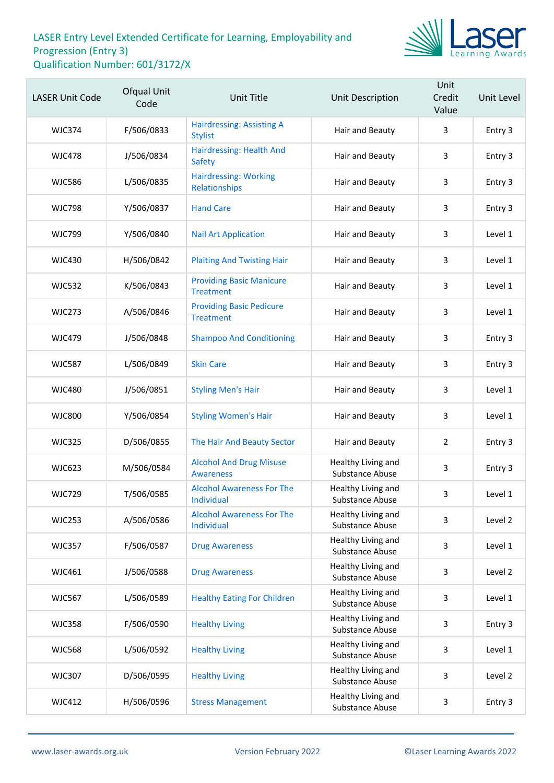

| <b>LASER Unit Code</b> | Ofqual Unit<br>Code | <b>Unit Title</b>                                   | Unit Description                      | Unit<br>Credit<br>Value | Unit Level |
|------------------------|---------------------|-----------------------------------------------------|---------------------------------------|-------------------------|------------|
| <b>WJC374</b>          | F/506/0833          | <b>Hairdressing: Assisting A</b><br><b>Stylist</b>  | Hair and Beauty                       | 3                       | Entry 3    |
| <b>WJC478</b>          | J/506/0834          | Hairdressing: Health And<br><b>Safety</b>           | Hair and Beauty                       | 3                       | Entry 3    |
| <b>WJC586</b>          | L/506/0835          | <b>Hairdressing: Working</b><br>Relationships       | Hair and Beauty                       | 3                       | Entry 3    |
| <b>WJC798</b>          | Y/506/0837          | <b>Hand Care</b>                                    | Hair and Beauty                       | 3                       | Entry 3    |
| <b>WJC799</b>          | Y/506/0840          | <b>Nail Art Application</b>                         | Hair and Beauty                       | 3                       | Level 1    |
| <b>WJC430</b>          | H/506/0842          | <b>Plaiting And Twisting Hair</b>                   | Hair and Beauty                       | 3                       | Level 1    |
| <b>WJC532</b>          | K/506/0843          | <b>Providing Basic Manicure</b><br><b>Treatment</b> | Hair and Beauty                       | 3                       | Level 1    |
| <b>WJC273</b>          | A/506/0846          | <b>Providing Basic Pedicure</b><br><b>Treatment</b> | Hair and Beauty                       | 3                       | Level 1    |
| <b>WJC479</b>          | J/506/0848          | <b>Shampoo And Conditioning</b>                     | Hair and Beauty                       | 3                       | Entry 3    |
| <b>WJC587</b>          | L/506/0849          | <b>Skin Care</b>                                    | Hair and Beauty                       | 3                       | Entry 3    |
| <b>WJC480</b>          | J/506/0851          | <b>Styling Men's Hair</b>                           | Hair and Beauty                       | 3                       | Level 1    |
| <b>WJC800</b>          | Y/506/0854          | <b>Styling Women's Hair</b>                         | Hair and Beauty                       | 3                       | Level 1    |
| <b>WJC325</b>          | D/506/0855          | The Hair And Beauty Sector                          | Hair and Beauty                       | $\overline{2}$          | Entry 3    |
| <b>WJC623</b>          | M/506/0584          | <b>Alcohol And Drug Misuse</b><br><b>Awareness</b>  | Healthy Living and<br>Substance Abuse | 3                       | Entry 3    |
| <b>WJC729</b>          | T/506/0585          | <b>Alcohol Awareness For The</b><br>Individual      | Healthy Living and<br>Substance Abuse | 3                       | Level 1    |
| <b>WJC253</b>          | A/506/0586          | <b>Alcohol Awareness For The</b><br>Individual      | Healthy Living and<br>Substance Abuse | 3                       | Level 2    |
| <b>WJC357</b>          | F/506/0587          | <b>Drug Awareness</b>                               | Healthy Living and<br>Substance Abuse | 3                       | Level 1    |
| WJC461                 | J/506/0588          | <b>Drug Awareness</b>                               | Healthy Living and<br>Substance Abuse | 3                       | Level 2    |
| <b>WJC567</b>          | L/506/0589          | <b>Healthy Eating For Children</b>                  | Healthy Living and<br>Substance Abuse | 3                       | Level 1    |
| <b>WJC358</b>          | F/506/0590          | <b>Healthy Living</b>                               | Healthy Living and<br>Substance Abuse | 3                       | Entry 3    |
| <b>WJC568</b>          | L/506/0592          | <b>Healthy Living</b>                               | Healthy Living and<br>Substance Abuse | 3                       | Level 1    |
| <b>WJC307</b>          | D/506/0595          | <b>Healthy Living</b>                               | Healthy Living and<br>Substance Abuse | 3                       | Level 2    |
| <b>WJC412</b>          | H/506/0596          | <b>Stress Management</b>                            | Healthy Living and<br>Substance Abuse | 3                       | Entry 3    |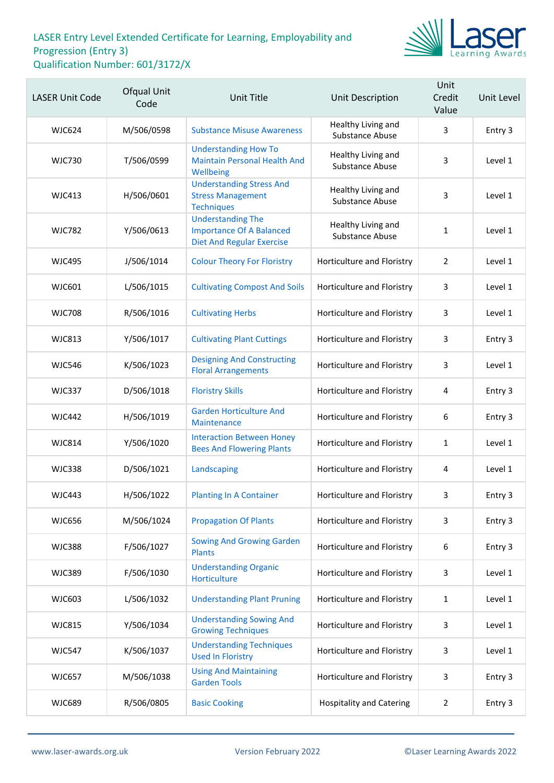

| <b>LASER Unit Code</b> | Ofqual Unit<br>Code | <b>Unit Title</b>                                                                               | Unit Description                      | Unit<br>Credit<br>Value | Unit Level |
|------------------------|---------------------|-------------------------------------------------------------------------------------------------|---------------------------------------|-------------------------|------------|
| <b>WJC624</b>          | M/506/0598          | <b>Substance Misuse Awareness</b>                                                               | Healthy Living and<br>Substance Abuse | 3                       | Entry 3    |
| <b>WJC730</b>          | T/506/0599          | <b>Understanding How To</b><br><b>Maintain Personal Health And</b><br>Wellbeing                 | Healthy Living and<br>Substance Abuse | 3                       | Level 1    |
| <b>WJC413</b>          | H/506/0601          | <b>Understanding Stress And</b><br><b>Stress Management</b><br><b>Techniques</b>                | Healthy Living and<br>Substance Abuse | 3                       | Level 1    |
| <b>WJC782</b>          | Y/506/0613          | <b>Understanding The</b><br><b>Importance Of A Balanced</b><br><b>Diet And Regular Exercise</b> | Healthy Living and<br>Substance Abuse | $\mathbf{1}$            | Level 1    |
| <b>WJC495</b>          | J/506/1014          | <b>Colour Theory For Floristry</b>                                                              | Horticulture and Floristry            | $\overline{2}$          | Level 1    |
| WJC601                 | L/506/1015          | <b>Cultivating Compost And Soils</b>                                                            | Horticulture and Floristry            | 3                       | Level 1    |
| <b>WJC708</b>          | R/506/1016          | <b>Cultivating Herbs</b>                                                                        | Horticulture and Floristry            | 3                       | Level 1    |
| <b>WJC813</b>          | Y/506/1017          | <b>Cultivating Plant Cuttings</b>                                                               | Horticulture and Floristry            | 3                       | Entry 3    |
| <b>WJC546</b>          | K/506/1023          | <b>Designing And Constructing</b><br><b>Floral Arrangements</b>                                 | Horticulture and Floristry            | 3                       | Level 1    |
| <b>WJC337</b>          | D/506/1018          | <b>Floristry Skills</b>                                                                         | Horticulture and Floristry            | 4                       | Entry 3    |
| <b>WJC442</b>          | H/506/1019          | <b>Garden Horticulture And</b><br>Maintenance                                                   | Horticulture and Floristry            | 6                       | Entry 3    |
| <b>WJC814</b>          | Y/506/1020          | <b>Interaction Between Honey</b><br><b>Bees And Flowering Plants</b>                            | Horticulture and Floristry            | 1                       | Level 1    |
| <b>WJC338</b>          | D/506/1021          | Landscaping                                                                                     | Horticulture and Floristry            | 4                       | Level 1    |
| <b>WJC443</b>          | H/506/1022          | <b>Planting In A Container</b>                                                                  | Horticulture and Floristry            | 3                       | Entry 3    |
| <b>WJC656</b>          | M/506/1024          | <b>Propagation Of Plants</b>                                                                    | Horticulture and Floristry            | 3                       | Entry 3    |
| <b>WJC388</b>          | F/506/1027          | <b>Sowing And Growing Garden</b><br><b>Plants</b>                                               | Horticulture and Floristry            | 6                       | Entry 3    |
| <b>WJC389</b>          | F/506/1030          | <b>Understanding Organic</b><br>Horticulture                                                    | Horticulture and Floristry            | 3                       | Level 1    |
| WJC603                 | L/506/1032          | <b>Understanding Plant Pruning</b>                                                              | Horticulture and Floristry            | $\mathbf{1}$            | Level 1    |
| <b>WJC815</b>          | Y/506/1034          | <b>Understanding Sowing And</b><br><b>Growing Techniques</b>                                    | Horticulture and Floristry            | 3                       | Level 1    |
| <b>WJC547</b>          | K/506/1037          | <b>Understanding Techniques</b><br><b>Used In Floristry</b>                                     | Horticulture and Floristry            | 3                       | Level 1    |
| <b>WJC657</b>          | M/506/1038          | <b>Using And Maintaining</b><br><b>Garden Tools</b>                                             | Horticulture and Floristry            | 3                       | Entry 3    |
| <b>WJC689</b>          | R/506/0805          | <b>Basic Cooking</b>                                                                            | <b>Hospitality and Catering</b>       | $\overline{2}$          | Entry 3    |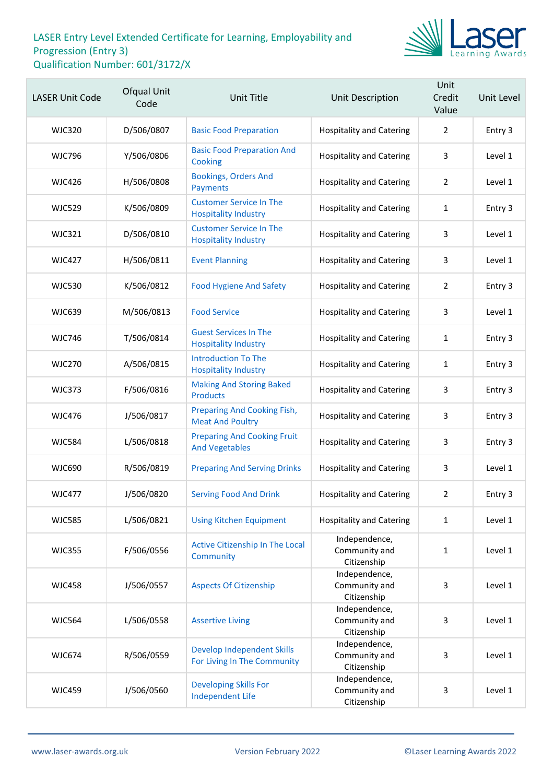

| <b>LASER Unit Code</b> | Ofqual Unit<br>Code | Unit Title                                                    | <b>Unit Description</b>                       | Unit<br>Credit<br>Value | Unit Level |
|------------------------|---------------------|---------------------------------------------------------------|-----------------------------------------------|-------------------------|------------|
| <b>WJC320</b>          | D/506/0807          | <b>Basic Food Preparation</b>                                 | <b>Hospitality and Catering</b>               | $\overline{2}$          | Entry 3    |
| <b>WJC796</b>          | Y/506/0806          | <b>Basic Food Preparation And</b><br>Cooking                  | <b>Hospitality and Catering</b>               | 3                       | Level 1    |
| <b>WJC426</b>          | H/506/0808          | <b>Bookings, Orders And</b><br><b>Payments</b>                | <b>Hospitality and Catering</b>               | 2                       | Level 1    |
| <b>WJC529</b>          | K/506/0809          | <b>Customer Service In The</b><br><b>Hospitality Industry</b> | <b>Hospitality and Catering</b>               | $\mathbf{1}$            | Entry 3    |
| <b>WJC321</b>          | D/506/0810          | <b>Customer Service In The</b><br><b>Hospitality Industry</b> | <b>Hospitality and Catering</b>               | 3                       | Level 1    |
| <b>WJC427</b>          | H/506/0811          | <b>Event Planning</b>                                         | <b>Hospitality and Catering</b>               | 3                       | Level 1    |
| <b>WJC530</b>          | K/506/0812          | <b>Food Hygiene And Safety</b>                                | <b>Hospitality and Catering</b>               | $\overline{2}$          | Entry 3    |
| <b>WJC639</b>          | M/506/0813          | <b>Food Service</b>                                           | <b>Hospitality and Catering</b>               | 3                       | Level 1    |
| <b>WJC746</b>          | T/506/0814          | <b>Guest Services In The</b><br><b>Hospitality Industry</b>   | <b>Hospitality and Catering</b>               | 1                       | Entry 3    |
| <b>WJC270</b>          | A/506/0815          | <b>Introduction To The</b><br><b>Hospitality Industry</b>     | <b>Hospitality and Catering</b>               | 1                       | Entry 3    |
| <b>WJC373</b>          | F/506/0816          | <b>Making And Storing Baked</b><br><b>Products</b>            | <b>Hospitality and Catering</b>               | 3                       | Entry 3    |
| <b>WJC476</b>          | J/506/0817          | <b>Preparing And Cooking Fish,</b><br><b>Meat And Poultry</b> | <b>Hospitality and Catering</b>               | 3                       | Entry 3    |
| <b>WJC584</b>          | L/506/0818          | <b>Preparing And Cooking Fruit</b><br><b>And Vegetables</b>   | <b>Hospitality and Catering</b>               | 3                       | Entry 3    |
| <b>WJC690</b>          | R/506/0819          | <b>Preparing And Serving Drinks</b>                           | <b>Hospitality and Catering</b>               | 3                       | Level 1    |
| <b>WJC477</b>          | J/506/0820          | <b>Serving Food And Drink</b>                                 | <b>Hospitality and Catering</b>               | $\overline{2}$          | Entry 3    |
| <b>WJC585</b>          | L/506/0821          | <b>Using Kitchen Equipment</b>                                | <b>Hospitality and Catering</b>               | $\mathbf{1}$            | Level 1    |
| <b>WJC355</b>          | F/506/0556          | Active Citizenship In The Local<br>Community                  | Independence,<br>Community and<br>Citizenship | $\mathbf{1}$            | Level 1    |
| <b>WJC458</b>          | J/506/0557          | <b>Aspects Of Citizenship</b>                                 | Independence,<br>Community and<br>Citizenship | 3                       | Level 1    |
| <b>WJC564</b>          | L/506/0558          | <b>Assertive Living</b>                                       | Independence,<br>Community and<br>Citizenship | 3                       | Level 1    |
| <b>WJC674</b>          | R/506/0559          | Develop Independent Skills<br>For Living In The Community     | Independence,<br>Community and<br>Citizenship | 3                       | Level 1    |
| <b>WJC459</b>          | J/506/0560          | <b>Developing Skills For</b><br><b>Independent Life</b>       | Independence,<br>Community and<br>Citizenship | 3                       | Level 1    |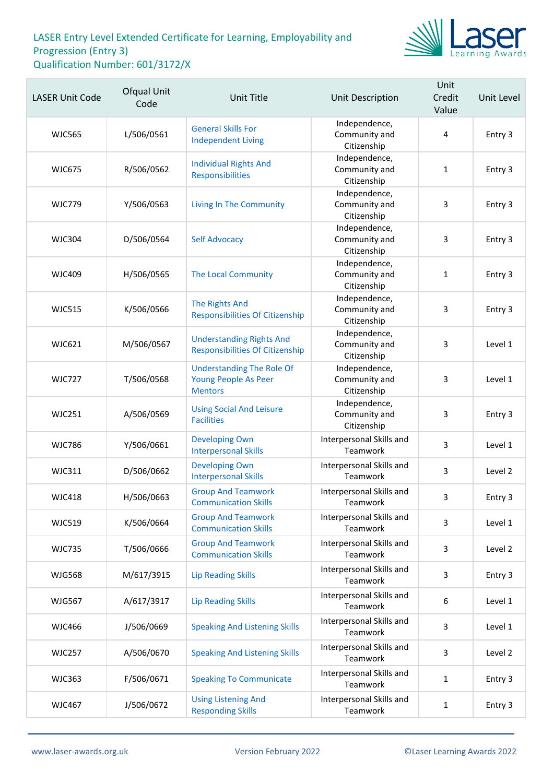

| <b>LASER Unit Code</b> | Ofqual Unit<br>Code | <b>Unit Title</b>                                                          | <b>Unit Description</b>                       | Unit<br>Credit<br>Value | Unit Level |
|------------------------|---------------------|----------------------------------------------------------------------------|-----------------------------------------------|-------------------------|------------|
| <b>WJC565</b>          | L/506/0561          | <b>General Skills For</b><br><b>Independent Living</b>                     | Independence,<br>Community and<br>Citizenship | $\overline{4}$          | Entry 3    |
| <b>WJC675</b>          | R/506/0562          | <b>Individual Rights And</b><br>Responsibilities                           | Independence,<br>Community and<br>Citizenship | $\mathbf{1}$            | Entry 3    |
| <b>WJC779</b>          | Y/506/0563          | <b>Living In The Community</b>                                             | Independence,<br>Community and<br>Citizenship | 3                       | Entry 3    |
| <b>WJC304</b>          | D/506/0564          | <b>Self Advocacy</b>                                                       | Independence,<br>Community and<br>Citizenship | 3                       | Entry 3    |
| <b>WJC409</b>          | H/506/0565          | <b>The Local Community</b>                                                 | Independence,<br>Community and<br>Citizenship | $\mathbf{1}$            | Entry 3    |
| <b>WJC515</b>          | K/506/0566          | The Rights And<br><b>Responsibilities Of Citizenship</b>                   | Independence,<br>Community and<br>Citizenship | 3                       | Entry 3    |
| <b>WJC621</b>          | M/506/0567          | <b>Understanding Rights And</b><br><b>Responsibilities Of Citizenship</b>  | Independence,<br>Community and<br>Citizenship | 3                       | Level 1    |
| <b>WJC727</b>          | T/506/0568          | <b>Understanding The Role Of</b><br>Young People As Peer<br><b>Mentors</b> | Independence,<br>Community and<br>Citizenship | 3                       | Level 1    |
| <b>WJC251</b>          | A/506/0569          | <b>Using Social And Leisure</b><br><b>Facilities</b>                       | Independence,<br>Community and<br>Citizenship | 3                       | Entry 3    |
| <b>WJC786</b>          | Y/506/0661          | <b>Developing Own</b><br><b>Interpersonal Skills</b>                       | Interpersonal Skills and<br>Teamwork          | 3                       | Level 1    |
| <b>WJC311</b>          | D/506/0662          | <b>Developing Own</b><br><b>Interpersonal Skills</b>                       | Interpersonal Skills and<br>Teamwork          | 3                       | Level 2    |
| <b>WJC418</b>          | H/506/0663          | <b>Group And Teamwork</b><br><b>Communication Skills</b>                   | Interpersonal Skills and<br>Teamwork          | 3                       | Entry 3    |
| <b>WJC519</b>          | K/506/0664          | <b>Group And Teamwork</b><br><b>Communication Skills</b>                   | Interpersonal Skills and<br>Teamwork          | 3                       | Level 1    |
| <b>WJC735</b>          | T/506/0666          | <b>Group And Teamwork</b><br><b>Communication Skills</b>                   | Interpersonal Skills and<br>Teamwork          | 3                       | Level 2    |
| <b>WJG568</b>          | M/617/3915          | <b>Lip Reading Skills</b>                                                  | Interpersonal Skills and<br>Teamwork          | 3                       | Entry 3    |
| <b>WJG567</b>          | A/617/3917          | <b>Lip Reading Skills</b>                                                  | Interpersonal Skills and<br>Teamwork          | 6                       | Level 1    |
| <b>WJC466</b>          | J/506/0669          | <b>Speaking And Listening Skills</b>                                       | Interpersonal Skills and<br>Teamwork          | 3                       | Level 1    |
| <b>WJC257</b>          | A/506/0670          | <b>Speaking And Listening Skills</b>                                       | Interpersonal Skills and<br>Teamwork          | 3                       | Level 2    |
| <b>WJC363</b>          | F/506/0671          | <b>Speaking To Communicate</b>                                             | Interpersonal Skills and<br>Teamwork          | $\mathbf{1}$            | Entry 3    |
| <b>WJC467</b>          | J/506/0672          | <b>Using Listening And</b><br><b>Responding Skills</b>                     | Interpersonal Skills and<br>Teamwork          | $\mathbf{1}$            | Entry 3    |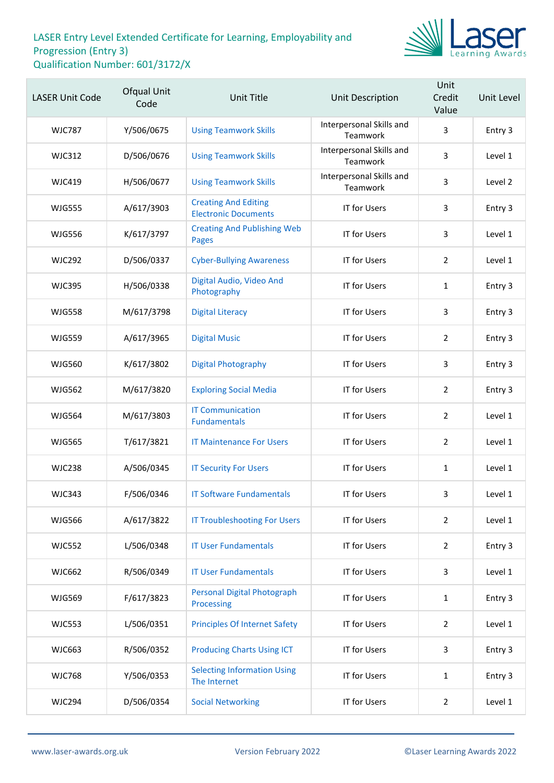

| <b>LASER Unit Code</b> | Ofqual Unit<br>Code | <b>Unit Title</b>                                          | <b>Unit Description</b>              | Unit<br>Credit<br>Value | Unit Level |
|------------------------|---------------------|------------------------------------------------------------|--------------------------------------|-------------------------|------------|
| <b>WJC787</b>          | Y/506/0675          | <b>Using Teamwork Skills</b>                               | Interpersonal Skills and<br>Teamwork | 3                       | Entry 3    |
| <b>WJC312</b>          | D/506/0676          | <b>Using Teamwork Skills</b>                               | Interpersonal Skills and<br>Teamwork | 3                       | Level 1    |
| <b>WJC419</b>          | H/506/0677          | <b>Using Teamwork Skills</b>                               | Interpersonal Skills and<br>Teamwork | 3                       | Level 2    |
| <b>WJG555</b>          | A/617/3903          | <b>Creating And Editing</b><br><b>Electronic Documents</b> | <b>IT for Users</b>                  | 3                       | Entry 3    |
| <b>WJG556</b>          | K/617/3797          | <b>Creating And Publishing Web</b><br><b>Pages</b>         | <b>IT for Users</b>                  | 3                       | Level 1    |
| <b>WJC292</b>          | D/506/0337          | <b>Cyber-Bullying Awareness</b>                            | <b>IT for Users</b>                  | $\overline{2}$          | Level 1    |
| <b>WJC395</b>          | H/506/0338          | Digital Audio, Video And<br>Photography                    | <b>IT for Users</b>                  | $\mathbf{1}$            | Entry 3    |
| <b>WJG558</b>          | M/617/3798          | <b>Digital Literacy</b>                                    | <b>IT for Users</b>                  | 3                       | Entry 3    |
| <b>WJG559</b>          | A/617/3965          | <b>Digital Music</b>                                       | <b>IT for Users</b>                  | $\overline{2}$          | Entry 3    |
| <b>WJG560</b>          | K/617/3802          | <b>Digital Photography</b>                                 | <b>IT for Users</b>                  | 3                       | Entry 3    |
| <b>WJG562</b>          | M/617/3820          | <b>Exploring Social Media</b>                              | <b>IT for Users</b>                  | $\overline{2}$          | Entry 3    |
| <b>WJG564</b>          | M/617/3803          | <b>IT Communication</b><br><b>Fundamentals</b>             | <b>IT for Users</b>                  | $\overline{2}$          | Level 1    |
| <b>WJG565</b>          | T/617/3821          | <b>IT Maintenance For Users</b>                            | <b>IT for Users</b>                  | $\overline{2}$          | Level 1    |
| <b>WJC238</b>          | A/506/0345          | <b>IT Security For Users</b>                               | <b>IT for Users</b>                  | $\mathbf{1}$            | Level 1    |
| <b>WJC343</b>          | F/506/0346          | <b>IT Software Fundamentals</b>                            | <b>IT for Users</b>                  | 3                       | Level 1    |
| <b>WJG566</b>          | A/617/3822          | <b>IT Troubleshooting For Users</b>                        | <b>IT for Users</b>                  | $\overline{2}$          | Level 1    |
| <b>WJC552</b>          | L/506/0348          | <b>IT User Fundamentals</b>                                | <b>IT for Users</b>                  | $\overline{2}$          | Entry 3    |
| <b>WJC662</b>          | R/506/0349          | <b>IT User Fundamentals</b>                                | <b>IT for Users</b>                  | 3                       | Level 1    |
| <b>WJG569</b>          | F/617/3823          | <b>Personal Digital Photograph</b><br>Processing           | <b>IT for Users</b>                  | $\mathbf{1}$            | Entry 3    |
| <b>WJC553</b>          | L/506/0351          | <b>Principles Of Internet Safety</b>                       | <b>IT for Users</b>                  | $\overline{2}$          | Level 1    |
| <b>WJC663</b>          | R/506/0352          | <b>Producing Charts Using ICT</b>                          | <b>IT for Users</b>                  | 3                       | Entry 3    |
| <b>WJC768</b>          | Y/506/0353          | <b>Selecting Information Using</b><br>The Internet         | <b>IT for Users</b>                  | $\mathbf{1}$            | Entry 3    |
| <b>WJC294</b>          | D/506/0354          | <b>Social Networking</b>                                   | <b>IT for Users</b>                  | $\overline{2}$          | Level 1    |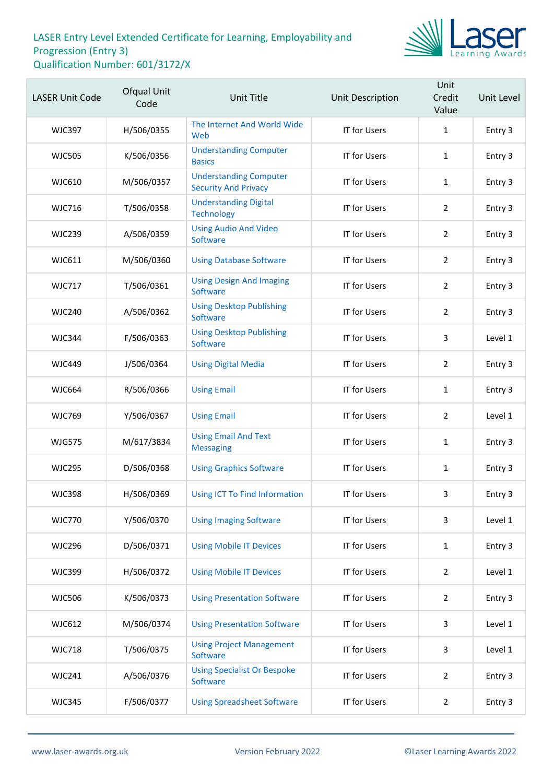

| <b>LASER Unit Code</b> | Ofqual Unit<br>Code | Unit Title                                                   | Unit Description    | Unit<br>Credit<br>Value | Unit Level |
|------------------------|---------------------|--------------------------------------------------------------|---------------------|-------------------------|------------|
| <b>WJC397</b>          | H/506/0355          | The Internet And World Wide<br>Web                           | <b>IT for Users</b> | $\mathbf{1}$            | Entry 3    |
| <b>WJC505</b>          | K/506/0356          | <b>Understanding Computer</b><br><b>Basics</b>               | <b>IT for Users</b> | $\mathbf{1}$            | Entry 3    |
| <b>WJC610</b>          | M/506/0357          | <b>Understanding Computer</b><br><b>Security And Privacy</b> | IT for Users        | $\mathbf{1}$            | Entry 3    |
| <b>WJC716</b>          | T/506/0358          | <b>Understanding Digital</b><br><b>Technology</b>            | <b>IT for Users</b> | $\overline{2}$          | Entry 3    |
| <b>WJC239</b>          | A/506/0359          | <b>Using Audio And Video</b><br>Software                     | <b>IT for Users</b> | $\overline{2}$          | Entry 3    |
| WJC611                 | M/506/0360          | <b>Using Database Software</b>                               | IT for Users        | $\overline{2}$          | Entry 3    |
| <b>WJC717</b>          | T/506/0361          | <b>Using Design And Imaging</b><br>Software                  | <b>IT for Users</b> | $\overline{2}$          | Entry 3    |
| <b>WJC240</b>          | A/506/0362          | <b>Using Desktop Publishing</b><br>Software                  | <b>IT for Users</b> | $\overline{2}$          | Entry 3    |
| <b>WJC344</b>          | F/506/0363          | <b>Using Desktop Publishing</b><br>Software                  | IT for Users        | 3                       | Level 1    |
| <b>WJC449</b>          | J/506/0364          | <b>Using Digital Media</b>                                   | <b>IT for Users</b> | $\overline{2}$          | Entry 3    |
| <b>WJC664</b>          | R/506/0366          | <b>Using Email</b>                                           | <b>IT for Users</b> | $\mathbf{1}$            | Entry 3    |
| <b>WJC769</b>          | Y/506/0367          | <b>Using Email</b>                                           | IT for Users        | $\overline{2}$          | Level 1    |
| <b>WJG575</b>          | M/617/3834          | <b>Using Email And Text</b><br><b>Messaging</b>              | <b>IT for Users</b> | $\mathbf{1}$            | Entry 3    |
| <b>WJC295</b>          | D/506/0368          | <b>Using Graphics Software</b>                               | IT for Users        | $\mathbf{1}$            | Entry 3    |
| <b>WJC398</b>          | H/506/0369          | <b>Using ICT To Find Information</b>                         | <b>IT for Users</b> | 3                       | Entry 3    |
| <b>WJC770</b>          | Y/506/0370          | <b>Using Imaging Software</b>                                | IT for Users        | 3                       | Level 1    |
| <b>WJC296</b>          | D/506/0371          | <b>Using Mobile IT Devices</b>                               | IT for Users        | $\mathbf{1}$            | Entry 3    |
| <b>WJC399</b>          | H/506/0372          | <b>Using Mobile IT Devices</b>                               | IT for Users        | $\overline{2}$          | Level 1    |
| <b>WJC506</b>          | K/506/0373          | <b>Using Presentation Software</b>                           | <b>IT for Users</b> | $\overline{2}$          | Entry 3    |
| <b>WJC612</b>          | M/506/0374          | <b>Using Presentation Software</b>                           | IT for Users        | 3                       | Level 1    |
| <b>WJC718</b>          | T/506/0375          | <b>Using Project Management</b><br>Software                  | IT for Users        | 3                       | Level 1    |
| <b>WJC241</b>          | A/506/0376          | <b>Using Specialist Or Bespoke</b><br>Software               | IT for Users        | $\overline{2}$          | Entry 3    |
| <b>WJC345</b>          | F/506/0377          | <b>Using Spreadsheet Software</b>                            | <b>IT for Users</b> | $\overline{2}$          | Entry 3    |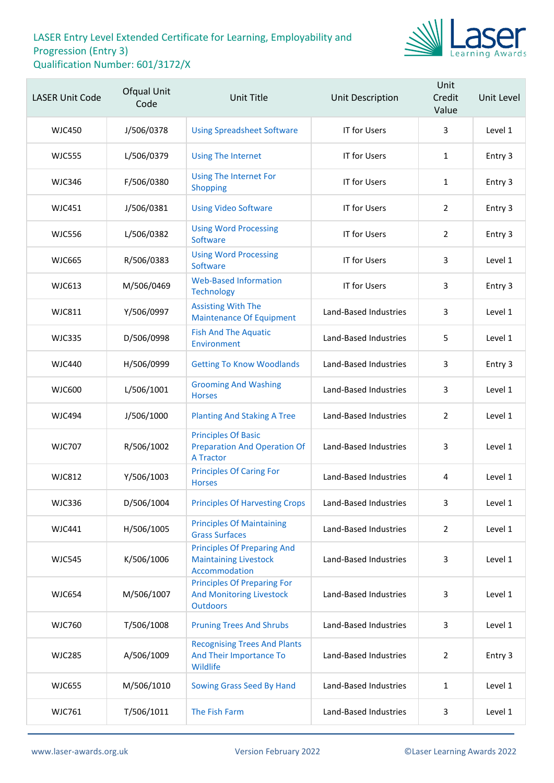

| <b>LASER Unit Code</b> | Ofqual Unit<br>Code | <b>Unit Title</b>                                                                        | Unit Description      | Unit<br>Credit<br>Value | Unit Level |
|------------------------|---------------------|------------------------------------------------------------------------------------------|-----------------------|-------------------------|------------|
| <b>WJC450</b>          | J/506/0378          | <b>Using Spreadsheet Software</b>                                                        | <b>IT for Users</b>   | 3                       | Level 1    |
| <b>WJC555</b>          | L/506/0379          | <b>Using The Internet</b>                                                                | <b>IT for Users</b>   | $\mathbf{1}$            | Entry 3    |
| <b>WJC346</b>          | F/506/0380          | <b>Using The Internet For</b><br>Shopping                                                | <b>IT for Users</b>   | $\mathbf{1}$            | Entry 3    |
| WJC451                 | J/506/0381          | <b>Using Video Software</b>                                                              | <b>IT for Users</b>   | $\overline{2}$          | Entry 3    |
| <b>WJC556</b>          | L/506/0382          | <b>Using Word Processing</b><br>Software                                                 | <b>IT for Users</b>   | $\overline{2}$          | Entry 3    |
| <b>WJC665</b>          | R/506/0383          | <b>Using Word Processing</b><br>Software                                                 | <b>IT for Users</b>   | 3                       | Level 1    |
| <b>WJC613</b>          | M/506/0469          | <b>Web-Based Information</b><br><b>Technology</b>                                        | IT for Users          | 3                       | Entry 3    |
| <b>WJC811</b>          | Y/506/0997          | <b>Assisting With The</b><br><b>Maintenance Of Equipment</b>                             | Land-Based Industries | 3                       | Level 1    |
| <b>WJC335</b>          | D/506/0998          | <b>Fish And The Aquatic</b><br>Environment                                               | Land-Based Industries | 5                       | Level 1    |
| WJC440                 | H/506/0999          | <b>Getting To Know Woodlands</b>                                                         | Land-Based Industries | 3                       | Entry 3    |
| <b>WJC600</b>          | L/506/1001          | <b>Grooming And Washing</b><br><b>Horses</b>                                             | Land-Based Industries | 3                       | Level 1    |
| <b>WJC494</b>          | J/506/1000          | <b>Planting And Staking A Tree</b>                                                       | Land-Based Industries | $\overline{2}$          | Level 1    |
| <b>WJC707</b>          | R/506/1002          | <b>Principles Of Basic</b><br><b>Preparation And Operation Of</b><br><b>A Tractor</b>    | Land-Based Industries | 3                       | Level 1    |
| <b>WJC812</b>          | Y/506/1003          | <b>Principles Of Caring For</b><br><b>Horses</b>                                         | Land-Based Industries | 4                       | Level 1    |
| <b>WJC336</b>          | D/506/1004          | <b>Principles Of Harvesting Crops</b>                                                    | Land-Based Industries | 3                       | Level 1    |
| <b>WJC441</b>          | H/506/1005          | <b>Principles Of Maintaining</b><br><b>Grass Surfaces</b>                                | Land-Based Industries | $\overline{2}$          | Level 1    |
| <b>WJC545</b>          | K/506/1006          | <b>Principles Of Preparing And</b><br><b>Maintaining Livestock</b><br>Accommodation      | Land-Based Industries | 3                       | Level 1    |
| <b>WJC654</b>          | M/506/1007          | <b>Principles Of Preparing For</b><br><b>And Monitoring Livestock</b><br><b>Outdoors</b> | Land-Based Industries | 3                       | Level 1    |
| <b>WJC760</b>          | T/506/1008          | <b>Pruning Trees And Shrubs</b>                                                          | Land-Based Industries | 3                       | Level 1    |
| <b>WJC285</b>          | A/506/1009          | <b>Recognising Trees And Plants</b><br>And Their Importance To<br>Wildlife               | Land-Based Industries | $\overline{2}$          | Entry 3    |
| <b>WJC655</b>          | M/506/1010          | Sowing Grass Seed By Hand                                                                | Land-Based Industries | $\mathbf{1}$            | Level 1    |
| <b>WJC761</b>          | T/506/1011          | The Fish Farm                                                                            | Land-Based Industries | $\mathbf{3}$            | Level 1    |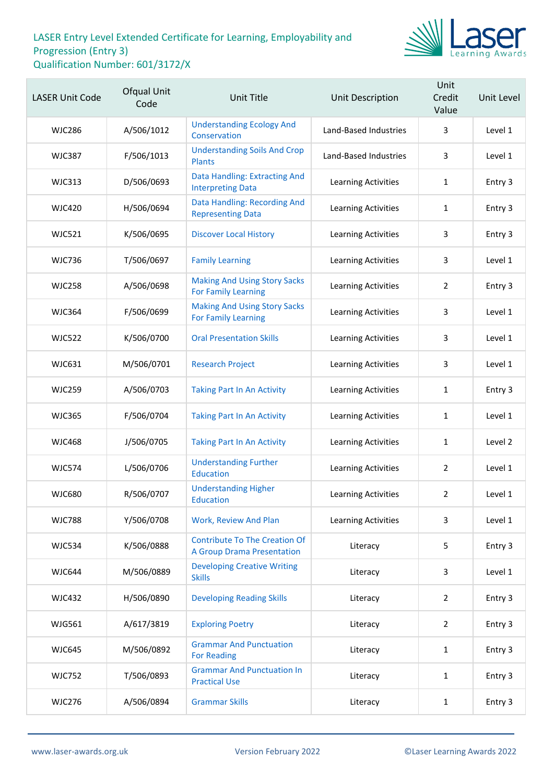

| <b>LASER Unit Code</b> | Ofqual Unit<br>Code | <b>Unit Title</b>                                                         | Unit Description           | Unit<br>Credit<br>Value | Unit Level |
|------------------------|---------------------|---------------------------------------------------------------------------|----------------------------|-------------------------|------------|
| <b>WJC286</b>          | A/506/1012          | <b>Understanding Ecology And</b><br>Conservation                          | Land-Based Industries      | 3                       | Level 1    |
| <b>WJC387</b>          | F/506/1013          | <b>Understanding Soils And Crop</b><br><b>Plants</b>                      | Land-Based Industries      | 3                       | Level 1    |
| <b>WJC313</b>          | D/506/0693          | Data Handling: Extracting And<br><b>Interpreting Data</b>                 | Learning Activities        | $\mathbf{1}$            | Entry 3    |
| <b>WJC420</b>          | H/506/0694          | Data Handling: Recording And<br><b>Representing Data</b>                  | <b>Learning Activities</b> | $\mathbf{1}$            | Entry 3    |
| <b>WJC521</b>          | K/506/0695          | <b>Discover Local History</b>                                             | Learning Activities        | 3                       | Entry 3    |
| <b>WJC736</b>          | T/506/0697          | <b>Family Learning</b>                                                    | Learning Activities        | 3                       | Level 1    |
| <b>WJC258</b>          | A/506/0698          | <b>Making And Using Story Sacks</b><br><b>For Family Learning</b>         | Learning Activities        | $\overline{2}$          | Entry 3    |
| <b>WJC364</b>          | F/506/0699          | <b>Making And Using Story Sacks</b><br><b>For Family Learning</b>         | Learning Activities        | 3                       | Level 1    |
| <b>WJC522</b>          | K/506/0700          | <b>Oral Presentation Skills</b>                                           | Learning Activities        | 3                       | Level 1    |
| <b>WJC631</b>          | M/506/0701          | <b>Research Project</b>                                                   | Learning Activities        | 3                       | Level 1    |
| <b>WJC259</b>          | A/506/0703          | <b>Taking Part In An Activity</b>                                         | Learning Activities        | $\mathbf{1}$            | Entry 3    |
| <b>WJC365</b>          | F/506/0704          | <b>Taking Part In An Activity</b>                                         | Learning Activities        | $\mathbf{1}$            | Level 1    |
| <b>WJC468</b>          | J/506/0705          | <b>Taking Part In An Activity</b>                                         | <b>Learning Activities</b> | 1                       | Level 2    |
| <b>WJC574</b>          | L/506/0706          | <b>Understanding Further</b><br><b>Education</b>                          | Learning Activities        | $\overline{2}$          | Level 1    |
| <b>WJC680</b>          | R/506/0707          | <b>Understanding Higher</b><br>Education                                  | Learning Activities        | 2                       | Level 1    |
| <b>WJC788</b>          | Y/506/0708          | <b>Work, Review And Plan</b>                                              | <b>Learning Activities</b> | 3                       | Level 1    |
| <b>WJC534</b>          | K/506/0888          | <b>Contribute To The Creation Of</b><br><b>A Group Drama Presentation</b> | Literacy                   | 5                       | Entry 3    |
| WJC644                 | M/506/0889          | <b>Developing Creative Writing</b><br><b>Skills</b>                       | Literacy                   | 3                       | Level 1    |
| <b>WJC432</b>          | H/506/0890          | <b>Developing Reading Skills</b>                                          | Literacy                   | $\overline{2}$          | Entry 3    |
| <b>WJG561</b>          | A/617/3819          | <b>Exploring Poetry</b>                                                   | Literacy                   | $\overline{2}$          | Entry 3    |
| <b>WJC645</b>          | M/506/0892          | <b>Grammar And Punctuation</b><br><b>For Reading</b>                      | Literacy                   | $\mathbf{1}$            | Entry 3    |
| <b>WJC752</b>          | T/506/0893          | <b>Grammar And Punctuation In</b><br><b>Practical Use</b>                 | Literacy                   | $\mathbf{1}$            | Entry 3    |
| <b>WJC276</b>          | A/506/0894          | <b>Grammar Skills</b>                                                     | Literacy                   | $\mathbf{1}$            | Entry 3    |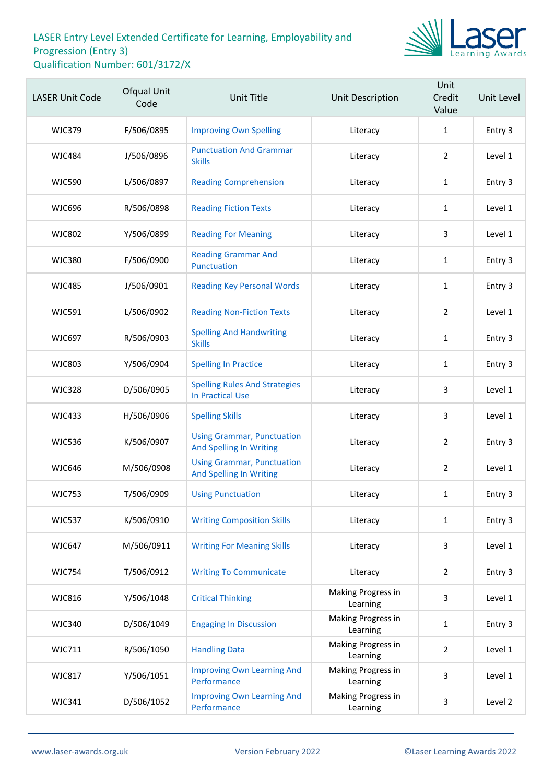

| <b>LASER Unit Code</b> | <b>Ofqual Unit</b><br>Code | <b>Unit Title</b>                                                   | <b>Unit Description</b>        | Unit<br>Credit<br>Value | Unit Level |
|------------------------|----------------------------|---------------------------------------------------------------------|--------------------------------|-------------------------|------------|
| <b>WJC379</b>          | F/506/0895                 | <b>Improving Own Spelling</b>                                       | Literacy                       | $\mathbf{1}$            | Entry 3    |
| <b>WJC484</b>          | J/506/0896                 | <b>Punctuation And Grammar</b><br><b>Skills</b>                     | Literacy                       | $\overline{2}$          | Level 1    |
| <b>WJC590</b>          | L/506/0897                 | <b>Reading Comprehension</b>                                        | Literacy                       | $\mathbf{1}$            | Entry 3    |
| <b>WJC696</b>          | R/506/0898                 | <b>Reading Fiction Texts</b>                                        | Literacy                       | $\mathbf{1}$            | Level 1    |
| <b>WJC802</b>          | Y/506/0899                 | <b>Reading For Meaning</b>                                          | Literacy                       | 3                       | Level 1    |
| <b>WJC380</b>          | F/506/0900                 | <b>Reading Grammar And</b><br>Punctuation                           | Literacy                       | $\mathbf{1}$            | Entry 3    |
| <b>WJC485</b>          | J/506/0901                 | <b>Reading Key Personal Words</b>                                   | Literacy                       | $\mathbf{1}$            | Entry 3    |
| <b>WJC591</b>          | L/506/0902                 | <b>Reading Non-Fiction Texts</b>                                    | Literacy                       | $\overline{2}$          | Level 1    |
| <b>WJC697</b>          | R/506/0903                 | <b>Spelling And Handwriting</b><br><b>Skills</b>                    | Literacy                       | $\mathbf{1}$            | Entry 3    |
| <b>WJC803</b>          | Y/506/0904                 | <b>Spelling In Practice</b>                                         | Literacy                       | $\mathbf{1}$            | Entry 3    |
| <b>WJC328</b>          | D/506/0905                 | <b>Spelling Rules And Strategies</b><br><b>In Practical Use</b>     | Literacy                       | 3                       | Level 1    |
| <b>WJC433</b>          | H/506/0906                 | <b>Spelling Skills</b>                                              | Literacy                       | 3                       | Level 1    |
| <b>WJC536</b>          | K/506/0907                 | <b>Using Grammar, Punctuation</b><br><b>And Spelling In Writing</b> | Literacy                       | $\overline{2}$          | Entry 3    |
| <b>WJC646</b>          | M/506/0908                 | <b>Using Grammar, Punctuation</b><br><b>And Spelling In Writing</b> | Literacy                       | $\overline{2}$          | Level 1    |
| <b>WJC753</b>          | T/506/0909                 | <b>Using Punctuation</b>                                            | Literacy                       | $\mathbf{1}$            | Entry 3    |
| <b>WJC537</b>          | K/506/0910                 | <b>Writing Composition Skills</b>                                   | Literacy                       | $\mathbf{1}$            | Entry 3    |
| <b>WJC647</b>          | M/506/0911                 | <b>Writing For Meaning Skills</b>                                   | Literacy                       | 3                       | Level 1    |
| <b>WJC754</b>          | T/506/0912                 | <b>Writing To Communicate</b>                                       | Literacy                       | $\overline{2}$          | Entry 3    |
| <b>WJC816</b>          | Y/506/1048                 | <b>Critical Thinking</b>                                            | Making Progress in<br>Learning | 3                       | Level 1    |
| <b>WJC340</b>          | D/506/1049                 | <b>Engaging In Discussion</b>                                       | Making Progress in<br>Learning | $\mathbf{1}$            | Entry 3    |
| <b>WJC711</b>          | R/506/1050                 | <b>Handling Data</b>                                                | Making Progress in<br>Learning | $\overline{2}$          | Level 1    |
| <b>WJC817</b>          | Y/506/1051                 | <b>Improving Own Learning And</b><br>Performance                    | Making Progress in<br>Learning | 3                       | Level 1    |
| <b>WJC341</b>          | D/506/1052                 | <b>Improving Own Learning And</b><br>Performance                    | Making Progress in<br>Learning | 3                       | Level 2    |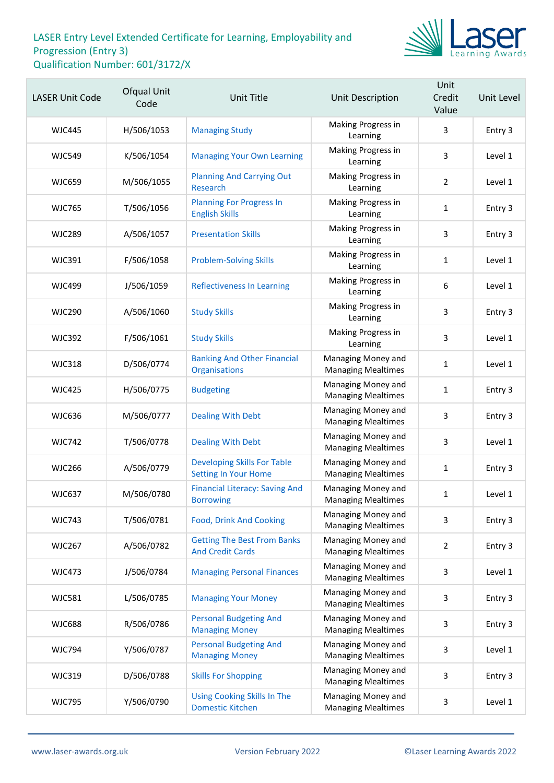

| <b>LASER Unit Code</b> | Ofqual Unit<br>Code | Unit Title                                                        | Unit Description                                | Unit<br>Credit<br>Value | Unit Level |
|------------------------|---------------------|-------------------------------------------------------------------|-------------------------------------------------|-------------------------|------------|
| <b>WJC445</b>          | H/506/1053          | <b>Managing Study</b>                                             | Making Progress in<br>Learning                  | 3                       | Entry 3    |
| <b>WJC549</b>          | K/506/1054          | <b>Managing Your Own Learning</b>                                 | Making Progress in<br>Learning                  | 3                       | Level 1    |
| <b>WJC659</b>          | M/506/1055          | <b>Planning And Carrying Out</b><br>Research                      | Making Progress in<br>Learning                  | $\overline{2}$          | Level 1    |
| <b>WJC765</b>          | T/506/1056          | <b>Planning For Progress In</b><br><b>English Skills</b>          | Making Progress in<br>Learning                  | 1                       | Entry 3    |
| <b>WJC289</b>          | A/506/1057          | <b>Presentation Skills</b>                                        | Making Progress in<br>Learning                  | 3                       | Entry 3    |
| <b>WJC391</b>          | F/506/1058          | <b>Problem-Solving Skills</b>                                     | Making Progress in<br>Learning                  | $\mathbf{1}$            | Level 1    |
| <b>WJC499</b>          | J/506/1059          | <b>Reflectiveness In Learning</b>                                 | Making Progress in<br>Learning                  | 6                       | Level 1    |
| <b>WJC290</b>          | A/506/1060          | <b>Study Skills</b>                                               | Making Progress in<br>Learning                  | 3                       | Entry 3    |
| <b>WJC392</b>          | F/506/1061          | <b>Study Skills</b>                                               | Making Progress in<br>Learning                  | 3                       | Level 1    |
| <b>WJC318</b>          | D/506/0774          | <b>Banking And Other Financial</b><br><b>Organisations</b>        | Managing Money and<br><b>Managing Mealtimes</b> | 1                       | Level 1    |
| <b>WJC425</b>          | H/506/0775          | <b>Budgeting</b>                                                  | Managing Money and<br><b>Managing Mealtimes</b> | $\mathbf{1}$            | Entry 3    |
| <b>WJC636</b>          | M/506/0777          | <b>Dealing With Debt</b>                                          | Managing Money and<br><b>Managing Mealtimes</b> | 3                       | Entry 3    |
| <b>WJC742</b>          | T/506/0778          | <b>Dealing With Debt</b>                                          | Managing Money and<br><b>Managing Mealtimes</b> | 3                       | Level 1    |
| <b>WJC266</b>          | A/506/0779          | <b>Developing Skills For Table</b><br><b>Setting In Your Home</b> | Managing Money and<br><b>Managing Mealtimes</b> | $\mathbf{1}$            | Entry 3    |
| <b>WJC637</b>          | M/506/0780          | <b>Financial Literacy: Saving And</b><br><b>Borrowing</b>         | Managing Money and<br><b>Managing Mealtimes</b> | 1                       | Level 1    |
| <b>WJC743</b>          | T/506/0781          | <b>Food, Drink And Cooking</b>                                    | Managing Money and<br><b>Managing Mealtimes</b> | 3                       | Entry 3    |
| <b>WJC267</b>          | A/506/0782          | <b>Getting The Best From Banks</b><br><b>And Credit Cards</b>     | Managing Money and<br><b>Managing Mealtimes</b> | $\overline{2}$          | Entry 3    |
| <b>WJC473</b>          | J/506/0784          | <b>Managing Personal Finances</b>                                 | Managing Money and<br><b>Managing Mealtimes</b> | 3                       | Level 1    |
| <b>WJC581</b>          | L/506/0785          | <b>Managing Your Money</b>                                        | Managing Money and<br><b>Managing Mealtimes</b> | 3                       | Entry 3    |
| <b>WJC688</b>          | R/506/0786          | <b>Personal Budgeting And</b><br><b>Managing Money</b>            | Managing Money and<br><b>Managing Mealtimes</b> | 3                       | Entry 3    |
| <b>WJC794</b>          | Y/506/0787          | <b>Personal Budgeting And</b><br><b>Managing Money</b>            | Managing Money and<br><b>Managing Mealtimes</b> | 3                       | Level 1    |
| <b>WJC319</b>          | D/506/0788          | <b>Skills For Shopping</b>                                        | Managing Money and<br><b>Managing Mealtimes</b> | 3                       | Entry 3    |
| <b>WJC795</b>          | Y/506/0790          | <b>Using Cooking Skills In The</b><br><b>Domestic Kitchen</b>     | Managing Money and<br><b>Managing Mealtimes</b> | 3                       | Level 1    |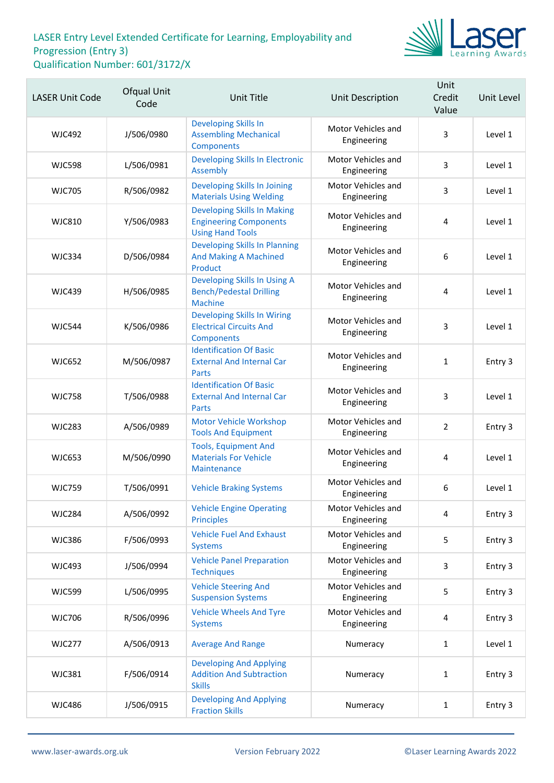

| <b>LASER Unit Code</b> | Ofqual Unit<br>Code | Unit Title                                                                                     | Unit Description                  | Unit<br>Credit<br>Value | Unit Level |
|------------------------|---------------------|------------------------------------------------------------------------------------------------|-----------------------------------|-------------------------|------------|
| <b>WJC492</b>          | J/506/0980          | Developing Skills In<br><b>Assembling Mechanical</b><br><b>Components</b>                      | Motor Vehicles and<br>Engineering | 3                       | Level 1    |
| <b>WJC598</b>          | L/506/0981          | <b>Developing Skills In Electronic</b><br>Assembly                                             | Motor Vehicles and<br>Engineering | 3                       | Level 1    |
| <b>WJC705</b>          | R/506/0982          | Developing Skills In Joining<br><b>Materials Using Welding</b>                                 | Motor Vehicles and<br>Engineering | 3                       | Level 1    |
| <b>WJC810</b>          | Y/506/0983          | <b>Developing Skills In Making</b><br><b>Engineering Components</b><br><b>Using Hand Tools</b> | Motor Vehicles and<br>Engineering | 4                       | Level 1    |
| <b>WJC334</b>          | D/506/0984          | <b>Developing Skills In Planning</b><br><b>And Making A Machined</b><br>Product                | Motor Vehicles and<br>Engineering | 6                       | Level 1    |
| <b>WJC439</b>          | H/506/0985          | Developing Skills In Using A<br><b>Bench/Pedestal Drilling</b><br><b>Machine</b>               | Motor Vehicles and<br>Engineering | 4                       | Level 1    |
| <b>WJC544</b>          | K/506/0986          | <b>Developing Skills In Wiring</b><br><b>Electrical Circuits And</b><br>Components             | Motor Vehicles and<br>Engineering | 3                       | Level 1    |
| <b>WJC652</b>          | M/506/0987          | <b>Identification Of Basic</b><br><b>External And Internal Car</b><br>Parts                    | Motor Vehicles and<br>Engineering | $\mathbf{1}$            | Entry 3    |
| <b>WJC758</b>          | T/506/0988          | <b>Identification Of Basic</b><br><b>External And Internal Car</b><br><b>Parts</b>             | Motor Vehicles and<br>Engineering | 3                       | Level 1    |
| <b>WJC283</b>          | A/506/0989          | Motor Vehicle Workshop<br><b>Tools And Equipment</b>                                           | Motor Vehicles and<br>Engineering | $\overline{2}$          | Entry 3    |
| <b>WJC653</b>          | M/506/0990          | <b>Tools, Equipment And</b><br><b>Materials For Vehicle</b><br>Maintenance                     | Motor Vehicles and<br>Engineering | 4                       | Level 1    |
| <b>WJC759</b>          | T/506/0991          | <b>Vehicle Braking Systems</b>                                                                 | Motor Vehicles and<br>Engineering | 6                       | Level 1    |
| <b>WJC284</b>          | A/506/0992          | <b>Vehicle Engine Operating</b><br><b>Principles</b>                                           | Motor Vehicles and<br>Engineering | 4                       | Entry 3    |
| <b>WJC386</b>          | F/506/0993          | <b>Vehicle Fuel And Exhaust</b><br><b>Systems</b>                                              | Motor Vehicles and<br>Engineering | 5                       | Entry 3    |
| <b>WJC493</b>          | J/506/0994          | <b>Vehicle Panel Preparation</b><br><b>Techniques</b>                                          | Motor Vehicles and<br>Engineering | 3                       | Entry 3    |
| <b>WJC599</b>          | L/506/0995          | <b>Vehicle Steering And</b><br><b>Suspension Systems</b>                                       | Motor Vehicles and<br>Engineering | 5                       | Entry 3    |
| <b>WJC706</b>          | R/506/0996          | <b>Vehicle Wheels And Tyre</b><br><b>Systems</b>                                               | Motor Vehicles and<br>Engineering | 4                       | Entry 3    |
| <b>WJC277</b>          | A/506/0913          | <b>Average And Range</b>                                                                       | Numeracy                          | 1                       | Level 1    |
| <b>WJC381</b>          | F/506/0914          | <b>Developing And Applying</b><br><b>Addition And Subtraction</b><br><b>Skills</b>             | Numeracy                          | $\mathbf{1}$            | Entry 3    |
| <b>WJC486</b>          | J/506/0915          | <b>Developing And Applying</b><br><b>Fraction Skills</b>                                       | Numeracy                          | $\mathbf{1}$            | Entry 3    |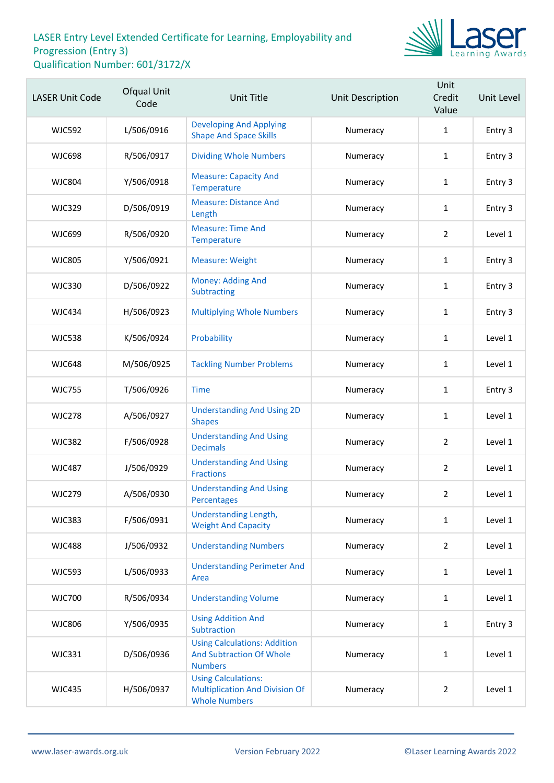

| <b>LASER Unit Code</b> | Ofqual Unit<br>Code | <b>Unit Title</b>                                                                           | Unit Description | Unit<br>Credit<br>Value | Unit Level |
|------------------------|---------------------|---------------------------------------------------------------------------------------------|------------------|-------------------------|------------|
| <b>WJC592</b>          | L/506/0916          | <b>Developing And Applying</b><br><b>Shape And Space Skills</b>                             | Numeracy         | $\mathbf{1}$            | Entry 3    |
| <b>WJC698</b>          | R/506/0917          | <b>Dividing Whole Numbers</b>                                                               | Numeracy         | $\mathbf{1}$            | Entry 3    |
| <b>WJC804</b>          | Y/506/0918          | <b>Measure: Capacity And</b><br>Temperature                                                 | Numeracy         | $\mathbf{1}$            | Entry 3    |
| <b>WJC329</b>          | D/506/0919          | <b>Measure: Distance And</b><br>Length                                                      | Numeracy         | 1                       | Entry 3    |
| <b>WJC699</b>          | R/506/0920          | <b>Measure: Time And</b><br>Temperature                                                     | Numeracy         | 2                       | Level 1    |
| <b>WJC805</b>          | Y/506/0921          | <b>Measure: Weight</b>                                                                      | Numeracy         | $\mathbf{1}$            | Entry 3    |
| <b>WJC330</b>          | D/506/0922          | Money: Adding And<br>Subtracting                                                            | Numeracy         | 1                       | Entry 3    |
| <b>WJC434</b>          | H/506/0923          | <b>Multiplying Whole Numbers</b>                                                            | Numeracy         | $\mathbf{1}$            | Entry 3    |
| <b>WJC538</b>          | K/506/0924          | Probability                                                                                 | Numeracy         | $\mathbf{1}$            | Level 1    |
| <b>WJC648</b>          | M/506/0925          | <b>Tackling Number Problems</b>                                                             | Numeracy         | 1                       | Level 1    |
| <b>WJC755</b>          | T/506/0926          | <b>Time</b>                                                                                 | Numeracy         | $\mathbf{1}$            | Entry 3    |
| <b>WJC278</b>          | A/506/0927          | <b>Understanding And Using 2D</b><br><b>Shapes</b>                                          | Numeracy         | $\mathbf{1}$            | Level 1    |
| <b>WJC382</b>          | F/506/0928          | <b>Understanding And Using</b><br><b>Decimals</b>                                           | Numeracy         | $\overline{2}$          | Level 1    |
| <b>WJC487</b>          | J/506/0929          | <b>Understanding And Using</b><br><b>Fractions</b>                                          | Numeracy         | $\overline{2}$          | Level 1    |
| <b>WJC279</b>          | A/506/0930          | <b>Understanding And Using</b><br>Percentages                                               | Numeracy         | $\overline{2}$          | Level 1    |
| <b>WJC383</b>          | F/506/0931          | Understanding Length,<br><b>Weight And Capacity</b>                                         | Numeracy         | $\mathbf{1}$            | Level 1    |
| <b>WJC488</b>          | J/506/0932          | <b>Understanding Numbers</b>                                                                | Numeracy         | $\overline{2}$          | Level 1    |
| <b>WJC593</b>          | L/506/0933          | <b>Understanding Perimeter And</b><br>Area                                                  | Numeracy         | $\mathbf{1}$            | Level 1    |
| <b>WJC700</b>          | R/506/0934          | <b>Understanding Volume</b>                                                                 | Numeracy         | $\mathbf{1}$            | Level 1    |
| <b>WJC806</b>          | Y/506/0935          | <b>Using Addition And</b><br>Subtraction                                                    | Numeracy         | $\mathbf{1}$            | Entry 3    |
| <b>WJC331</b>          | D/506/0936          | <b>Using Calculations: Addition</b><br><b>And Subtraction Of Whole</b><br><b>Numbers</b>    | Numeracy         | $\mathbf{1}$            | Level 1    |
| <b>WJC435</b>          | H/506/0937          | <b>Using Calculations:</b><br><b>Multiplication And Division Of</b><br><b>Whole Numbers</b> | Numeracy         | $\overline{2}$          | Level 1    |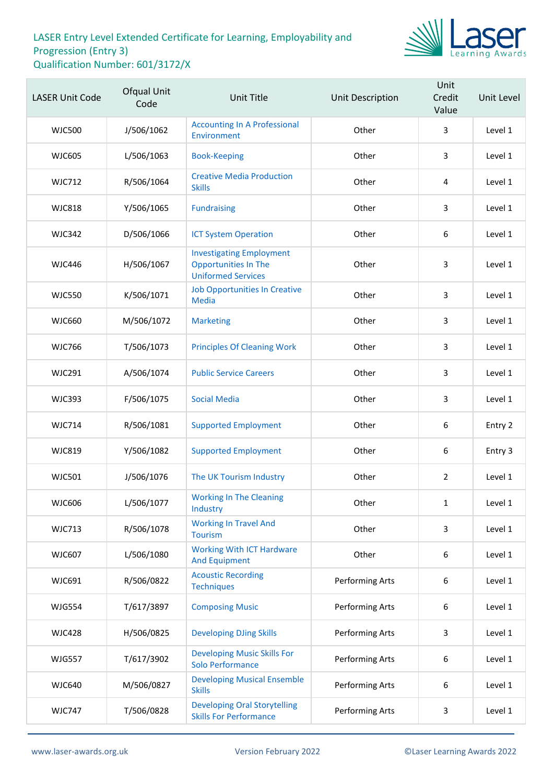

| <b>LASER Unit Code</b> | Ofqual Unit<br>Code | <b>Unit Title</b>                                                                           | Unit Description | Unit<br>Credit<br>Value | Unit Level |
|------------------------|---------------------|---------------------------------------------------------------------------------------------|------------------|-------------------------|------------|
| <b>WJC500</b>          | J/506/1062          | <b>Accounting In A Professional</b><br>Environment                                          | Other            | 3                       | Level 1    |
| <b>WJC605</b>          | L/506/1063          | <b>Book-Keeping</b>                                                                         | Other            | 3                       | Level 1    |
| <b>WJC712</b>          | R/506/1064          | <b>Creative Media Production</b><br><b>Skills</b>                                           | Other            | $\sqrt{4}$              | Level 1    |
| <b>WJC818</b>          | Y/506/1065          | <b>Fundraising</b>                                                                          | Other            | 3                       | Level 1    |
| <b>WJC342</b>          | D/506/1066          | <b>ICT System Operation</b>                                                                 | Other            | 6                       | Level 1    |
| <b>WJC446</b>          | H/506/1067          | <b>Investigating Employment</b><br><b>Opportunities In The</b><br><b>Uniformed Services</b> | Other            | 3                       | Level 1    |
| <b>WJC550</b>          | K/506/1071          | <b>Job Opportunities In Creative</b><br><b>Media</b>                                        | Other            | 3                       | Level 1    |
| <b>WJC660</b>          | M/506/1072          | <b>Marketing</b>                                                                            | Other            | 3                       | Level 1    |
| <b>WJC766</b>          | T/506/1073          | <b>Principles Of Cleaning Work</b>                                                          | Other            | 3                       | Level 1    |
| <b>WJC291</b>          | A/506/1074          | <b>Public Service Careers</b>                                                               | Other            | $\mathbf{3}$            | Level 1    |
| <b>WJC393</b>          | F/506/1075          | <b>Social Media</b>                                                                         | Other            | 3                       | Level 1    |
| <b>WJC714</b>          | R/506/1081          | <b>Supported Employment</b>                                                                 | Other            | $\boldsymbol{6}$        | Entry 2    |
| <b>WJC819</b>          | Y/506/1082          | <b>Supported Employment</b>                                                                 | Other            | 6                       | Entry 3    |
| <b>WJC501</b>          | J/506/1076          | The UK Tourism Industry                                                                     | Other            | $\overline{2}$          | Level 1    |
| <b>WJC606</b>          | L/506/1077          | <b>Working In The Cleaning</b><br>Industry                                                  | Other            | $\mathbf{1}$            | Level 1    |
| <b>WJC713</b>          | R/506/1078          | <b>Working In Travel And</b><br><b>Tourism</b>                                              | Other            | $\overline{3}$          | Level 1    |
| <b>WJC607</b>          | L/506/1080          | <b>Working With ICT Hardware</b><br><b>And Equipment</b>                                    | Other            | 6                       | Level 1    |
| WJC691                 | R/506/0822          | <b>Acoustic Recording</b><br><b>Techniques</b>                                              | Performing Arts  | 6                       | Level 1    |
| <b>WJG554</b>          | T/617/3897          | <b>Composing Music</b>                                                                      | Performing Arts  | 6                       | Level 1    |
| <b>WJC428</b>          | H/506/0825          | <b>Developing DJing Skills</b>                                                              | Performing Arts  | 3                       | Level 1    |
| <b>WJG557</b>          | T/617/3902          | <b>Developing Music Skills For</b><br>Solo Performance                                      | Performing Arts  | 6                       | Level 1    |
| <b>WJC640</b>          | M/506/0827          | <b>Developing Musical Ensemble</b><br><b>Skills</b>                                         | Performing Arts  | 6                       | Level 1    |
| <b>WJC747</b>          | T/506/0828          | <b>Developing Oral Storytelling</b><br><b>Skills For Performance</b>                        | Performing Arts  | 3                       | Level 1    |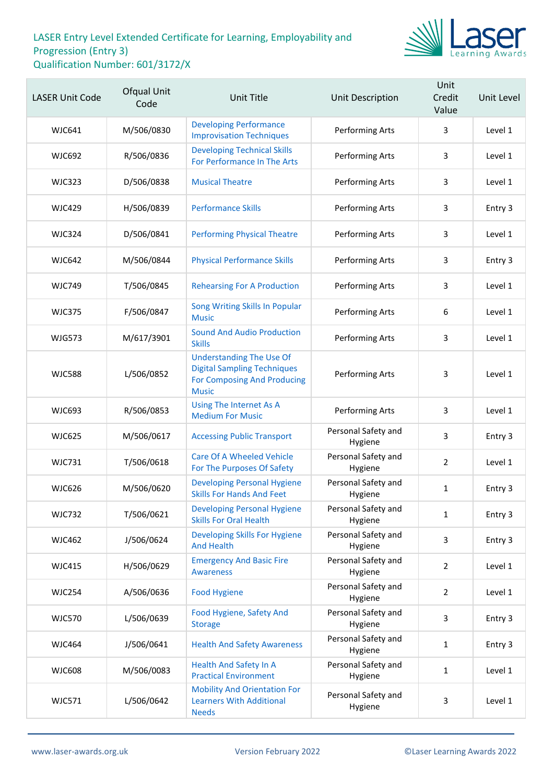

| <b>LASER Unit Code</b> | <b>Ofqual Unit</b><br>Code | Unit Title                                                                                                           | Unit Description               | Unit<br>Credit<br>Value | Unit Level |
|------------------------|----------------------------|----------------------------------------------------------------------------------------------------------------------|--------------------------------|-------------------------|------------|
| <b>WJC641</b>          | M/506/0830                 | <b>Developing Performance</b><br><b>Improvisation Techniques</b>                                                     | Performing Arts                | 3                       | Level 1    |
| <b>WJC692</b>          | R/506/0836                 | <b>Developing Technical Skills</b><br>For Performance In The Arts                                                    | Performing Arts                | 3                       | Level 1    |
| <b>WJC323</b>          | D/506/0838                 | <b>Musical Theatre</b>                                                                                               | Performing Arts                | 3                       | Level 1    |
| <b>WJC429</b>          | H/506/0839                 | <b>Performance Skills</b>                                                                                            | Performing Arts                | 3                       | Entry 3    |
| <b>WJC324</b>          | D/506/0841                 | <b>Performing Physical Theatre</b>                                                                                   | Performing Arts                | 3                       | Level 1    |
| <b>WJC642</b>          | M/506/0844                 | <b>Physical Performance Skills</b>                                                                                   | Performing Arts                | 3                       | Entry 3    |
| <b>WJC749</b>          | T/506/0845                 | <b>Rehearsing For A Production</b>                                                                                   | Performing Arts                | 3                       | Level 1    |
| <b>WJC375</b>          | F/506/0847                 | Song Writing Skills In Popular<br><b>Music</b>                                                                       | Performing Arts                | 6                       | Level 1    |
| <b>WJG573</b>          | M/617/3901                 | <b>Sound And Audio Production</b><br><b>Skills</b>                                                                   | Performing Arts                | 3                       | Level 1    |
| <b>WJC588</b>          | L/506/0852                 | <b>Understanding The Use Of</b><br><b>Digital Sampling Techniques</b><br>For Composing And Producing<br><b>Music</b> | Performing Arts                | 3                       | Level 1    |
| <b>WJC693</b>          | R/506/0853                 | Using The Internet As A<br><b>Medium For Music</b>                                                                   | Performing Arts                | 3                       | Level 1    |
| <b>WJC625</b>          | M/506/0617                 | <b>Accessing Public Transport</b>                                                                                    | Personal Safety and<br>Hygiene | 3                       | Entry 3    |
| <b>WJC731</b>          | T/506/0618                 | <b>Care Of A Wheeled Vehicle</b><br>For The Purposes Of Safety                                                       | Personal Safety and<br>Hygiene | $\overline{2}$          | Level 1    |
| <b>WJC626</b>          | M/506/0620                 | <b>Developing Personal Hygiene</b><br><b>Skills For Hands And Feet</b>                                               | Personal Safety and<br>Hygiene | 1                       | Entry 3    |
| <b>WJC732</b>          | T/506/0621                 | <b>Developing Personal Hygiene</b><br><b>Skills For Oral Health</b>                                                  | Personal Safety and<br>Hygiene | $\mathbf{1}$            | Entry 3    |
| <b>WJC462</b>          | J/506/0624                 | Developing Skills For Hygiene<br><b>And Health</b>                                                                   | Personal Safety and<br>Hygiene | 3                       | Entry 3    |
| <b>WJC415</b>          | H/506/0629                 | <b>Emergency And Basic Fire</b><br><b>Awareness</b>                                                                  | Personal Safety and<br>Hygiene | $\overline{2}$          | Level 1    |
| <b>WJC254</b>          | A/506/0636                 | <b>Food Hygiene</b>                                                                                                  | Personal Safety and<br>Hygiene | $\overline{2}$          | Level 1    |
| <b>WJC570</b>          | L/506/0639                 | Food Hygiene, Safety And<br><b>Storage</b>                                                                           | Personal Safety and<br>Hygiene | 3                       | Entry 3    |
| <b>WJC464</b>          | J/506/0641                 | <b>Health And Safety Awareness</b>                                                                                   | Personal Safety and<br>Hygiene | $\mathbf{1}$            | Entry 3    |
| <b>WJC608</b>          | M/506/0083                 | <b>Health And Safety In A</b><br><b>Practical Environment</b>                                                        | Personal Safety and<br>Hygiene | 1                       | Level 1    |
| <b>WJC571</b>          | L/506/0642                 | <b>Mobility And Orientation For</b><br><b>Learners With Additional</b><br><b>Needs</b>                               | Personal Safety and<br>Hygiene | 3                       | Level 1    |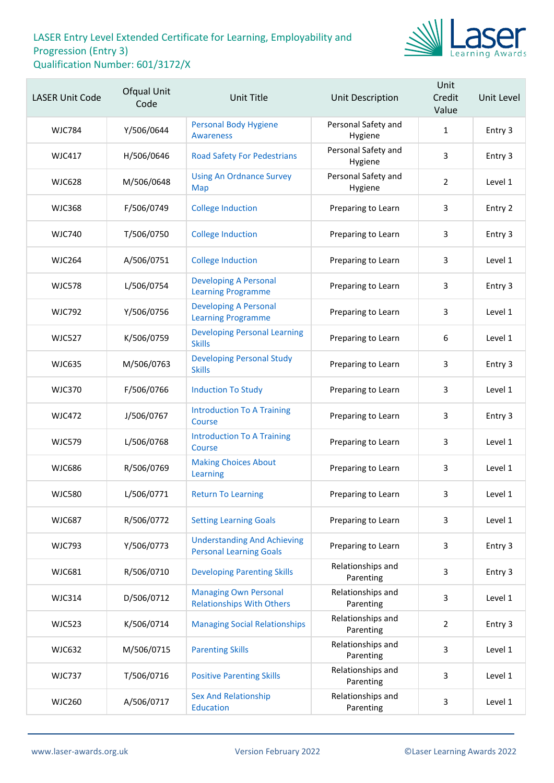

| <b>LASER Unit Code</b> | Ofqual Unit<br>Code | Unit Title                                                           | Unit Description               | Unit<br>Credit<br>Value | Unit Level |
|------------------------|---------------------|----------------------------------------------------------------------|--------------------------------|-------------------------|------------|
| <b>WJC784</b>          | Y/506/0644          | <b>Personal Body Hygiene</b><br><b>Awareness</b>                     | Personal Safety and<br>Hygiene | $\mathbf{1}$            | Entry 3    |
| <b>WJC417</b>          | H/506/0646          | <b>Road Safety For Pedestrians</b>                                   | Personal Safety and<br>Hygiene | 3                       | Entry 3    |
| <b>WJC628</b>          | M/506/0648          | <b>Using An Ordnance Survey</b><br>Map                               | Personal Safety and<br>Hygiene | $\overline{2}$          | Level 1    |
| <b>WJC368</b>          | F/506/0749          | <b>College Induction</b>                                             | Preparing to Learn             | 3                       | Entry 2    |
| <b>WJC740</b>          | T/506/0750          | <b>College Induction</b>                                             | Preparing to Learn             | 3                       | Entry 3    |
| <b>WJC264</b>          | A/506/0751          | <b>College Induction</b>                                             | Preparing to Learn             | 3                       | Level 1    |
| <b>WJC578</b>          | L/506/0754          | <b>Developing A Personal</b><br><b>Learning Programme</b>            | Preparing to Learn             | 3                       | Entry 3    |
| <b>WJC792</b>          | Y/506/0756          | <b>Developing A Personal</b><br><b>Learning Programme</b>            | Preparing to Learn             | 3                       | Level 1    |
| <b>WJC527</b>          | K/506/0759          | <b>Developing Personal Learning</b><br><b>Skills</b>                 | Preparing to Learn             | 6                       | Level 1    |
| <b>WJC635</b>          | M/506/0763          | <b>Developing Personal Study</b><br><b>Skills</b>                    | Preparing to Learn             | 3                       | Entry 3    |
| <b>WJC370</b>          | F/506/0766          | <b>Induction To Study</b>                                            | Preparing to Learn             | 3                       | Level 1    |
| <b>WJC472</b>          | J/506/0767          | <b>Introduction To A Training</b><br>Course                          | Preparing to Learn             | 3                       | Entry 3    |
| <b>WJC579</b>          | L/506/0768          | <b>Introduction To A Training</b><br>Course                          | Preparing to Learn             | 3                       | Level 1    |
| <b>WJC686</b>          | R/506/0769          | <b>Making Choices About</b><br>Learning                              | Preparing to Learn             | 3                       | Level 1    |
| <b>WJC580</b>          | L/506/0771          | <b>Return To Learning</b>                                            | Preparing to Learn             | 3                       | Level 1    |
| <b>WJC687</b>          | R/506/0772          | <b>Setting Learning Goals</b>                                        | Preparing to Learn             | 3                       | Level 1    |
| <b>WJC793</b>          | Y/506/0773          | <b>Understanding And Achieving</b><br><b>Personal Learning Goals</b> | Preparing to Learn             | 3                       | Entry 3    |
| WJC681                 | R/506/0710          | <b>Developing Parenting Skills</b>                                   | Relationships and<br>Parenting | 3                       | Entry 3    |
| <b>WJC314</b>          | D/506/0712          | <b>Managing Own Personal</b><br><b>Relationships With Others</b>     | Relationships and<br>Parenting | 3                       | Level 1    |
| <b>WJC523</b>          | K/506/0714          | <b>Managing Social Relationships</b>                                 | Relationships and<br>Parenting | $\overline{2}$          | Entry 3    |
| <b>WJC632</b>          | M/506/0715          | <b>Parenting Skills</b>                                              | Relationships and<br>Parenting | 3                       | Level 1    |
| <b>WJC737</b>          | T/506/0716          | <b>Positive Parenting Skills</b>                                     | Relationships and<br>Parenting | 3                       | Level 1    |
| <b>WJC260</b>          | A/506/0717          | <b>Sex And Relationship</b><br><b>Education</b>                      | Relationships and<br>Parenting | 3                       | Level 1    |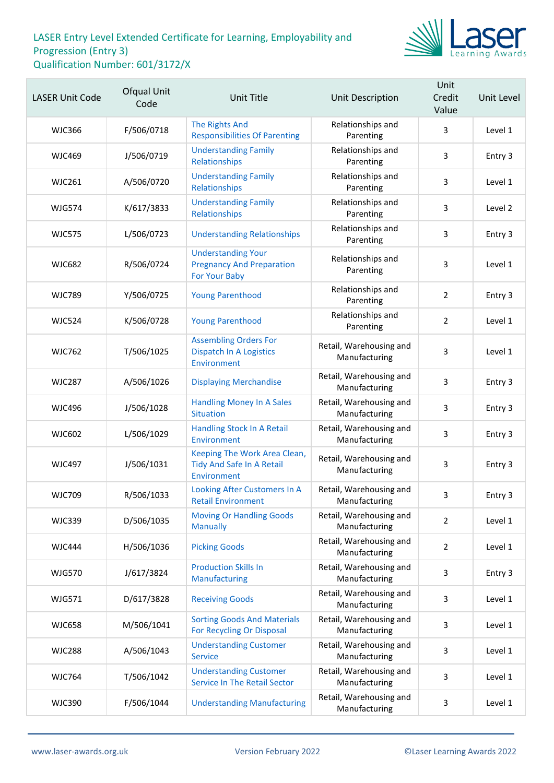

| <b>LASER Unit Code</b> | Ofqual Unit<br>Code | <b>Unit Title</b>                                                              | <b>Unit Description</b>                  | Unit<br>Credit<br>Value | Unit Level |
|------------------------|---------------------|--------------------------------------------------------------------------------|------------------------------------------|-------------------------|------------|
| <b>WJC366</b>          | F/506/0718          | The Rights And<br><b>Responsibilities Of Parenting</b>                         | Relationships and<br>Parenting           | 3                       | Level 1    |
| <b>WJC469</b>          | J/506/0719          | <b>Understanding Family</b><br>Relationships                                   | Relationships and<br>Parenting           | 3                       | Entry 3    |
| <b>WJC261</b>          | A/506/0720          | <b>Understanding Family</b><br>Relationships                                   | Relationships and<br>Parenting           | 3                       | Level 1    |
| <b>WJG574</b>          | K/617/3833          | <b>Understanding Family</b><br>Relationships                                   | Relationships and<br>Parenting           | 3                       | Level 2    |
| <b>WJC575</b>          | L/506/0723          | <b>Understanding Relationships</b>                                             | Relationships and<br>Parenting           | 3                       | Entry 3    |
| <b>WJC682</b>          | R/506/0724          | <b>Understanding Your</b><br><b>Pregnancy And Preparation</b><br>For Your Baby | Relationships and<br>Parenting           | 3                       | Level 1    |
| <b>WJC789</b>          | Y/506/0725          | <b>Young Parenthood</b>                                                        | Relationships and<br>Parenting           | $\overline{2}$          | Entry 3    |
| <b>WJC524</b>          | K/506/0728          | <b>Young Parenthood</b>                                                        | Relationships and<br>Parenting           | $\overline{2}$          | Level 1    |
| <b>WJC762</b>          | T/506/1025          | <b>Assembling Orders For</b><br><b>Dispatch In A Logistics</b><br>Environment  | Retail, Warehousing and<br>Manufacturing | 3                       | Level 1    |
| <b>WJC287</b>          | A/506/1026          | <b>Displaying Merchandise</b>                                                  | Retail, Warehousing and<br>Manufacturing | 3                       | Entry 3    |
| <b>WJC496</b>          | J/506/1028          | <b>Handling Money In A Sales</b><br><b>Situation</b>                           | Retail, Warehousing and<br>Manufacturing | 3                       | Entry 3    |
| <b>WJC602</b>          | L/506/1029          | <b>Handling Stock In A Retail</b><br>Environment                               | Retail, Warehousing and<br>Manufacturing | 3                       | Entry 3    |
| <b>WJC497</b>          | J/506/1031          | Keeping The Work Area Clean,<br>Tidy And Safe In A Retail<br>Environment       | Retail, Warehousing and<br>Manufacturing | 3                       | Entry 3    |
| <b>WJC709</b>          | R/506/1033          | Looking After Customers In A<br><b>Retail Environment</b>                      | Retail, Warehousing and<br>Manufacturing | 3                       | Entry 3    |
| <b>WJC339</b>          | D/506/1035          | <b>Moving Or Handling Goods</b><br><b>Manually</b>                             | Retail, Warehousing and<br>Manufacturing | $\overline{2}$          | Level 1    |
| <b>WJC444</b>          | H/506/1036          | <b>Picking Goods</b>                                                           | Retail, Warehousing and<br>Manufacturing | $\overline{2}$          | Level 1    |
| <b>WJG570</b>          | J/617/3824          | <b>Production Skills In</b><br>Manufacturing                                   | Retail, Warehousing and<br>Manufacturing | 3                       | Entry 3    |
| WJG571                 | D/617/3828          | <b>Receiving Goods</b>                                                         | Retail, Warehousing and<br>Manufacturing | 3                       | Level 1    |
| <b>WJC658</b>          | M/506/1041          | <b>Sorting Goods And Materials</b><br>For Recycling Or Disposal                | Retail, Warehousing and<br>Manufacturing | 3                       | Level 1    |
| <b>WJC288</b>          | A/506/1043          | <b>Understanding Customer</b><br><b>Service</b>                                | Retail, Warehousing and<br>Manufacturing | 3                       | Level 1    |
| <b>WJC764</b>          | T/506/1042          | <b>Understanding Customer</b><br><b>Service In The Retail Sector</b>           | Retail, Warehousing and<br>Manufacturing | 3                       | Level 1    |
| <b>WJC390</b>          | F/506/1044          | <b>Understanding Manufacturing</b>                                             | Retail, Warehousing and<br>Manufacturing | 3                       | Level 1    |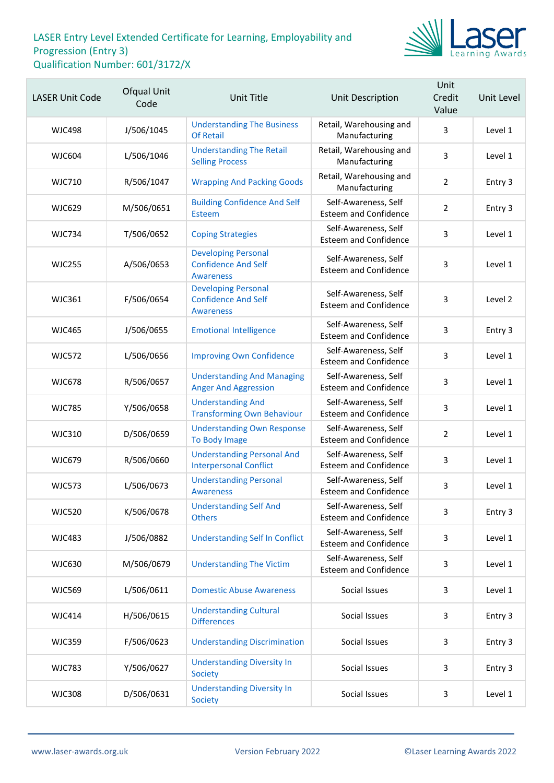

| <b>LASER Unit Code</b> | Ofqual Unit<br>Code | <b>Unit Title</b>                                                            | Unit Description                                     | Unit<br>Credit<br>Value | Unit Level |
|------------------------|---------------------|------------------------------------------------------------------------------|------------------------------------------------------|-------------------------|------------|
| <b>WJC498</b>          | J/506/1045          | <b>Understanding The Business</b><br><b>Of Retail</b>                        | Retail, Warehousing and<br>Manufacturing             | 3                       | Level 1    |
| WJC604                 | L/506/1046          | <b>Understanding The Retail</b><br><b>Selling Process</b>                    | Retail, Warehousing and<br>Manufacturing             | 3                       | Level 1    |
| <b>WJC710</b>          | R/506/1047          | <b>Wrapping And Packing Goods</b>                                            | Retail, Warehousing and<br>Manufacturing             | $\overline{2}$          | Entry 3    |
| <b>WJC629</b>          | M/506/0651          | <b>Building Confidence And Self</b><br>Esteem                                | Self-Awareness, Self<br><b>Esteem and Confidence</b> | $\overline{2}$          | Entry 3    |
| WJC734                 | T/506/0652          | <b>Coping Strategies</b>                                                     | Self-Awareness, Self<br><b>Esteem and Confidence</b> | 3                       | Level 1    |
| <b>WJC255</b>          | A/506/0653          | <b>Developing Personal</b><br><b>Confidence And Self</b><br><b>Awareness</b> | Self-Awareness, Self<br><b>Esteem and Confidence</b> | 3                       | Level 1    |
| <b>WJC361</b>          | F/506/0654          | <b>Developing Personal</b><br><b>Confidence And Self</b><br><b>Awareness</b> | Self-Awareness, Self<br><b>Esteem and Confidence</b> | 3                       | Level 2    |
| <b>WJC465</b>          | J/506/0655          | <b>Emotional Intelligence</b>                                                | Self-Awareness, Self<br><b>Esteem and Confidence</b> | 3                       | Entry 3    |
| <b>WJC572</b>          | L/506/0656          | <b>Improving Own Confidence</b>                                              | Self-Awareness, Self<br><b>Esteem and Confidence</b> | 3                       | Level 1    |
| <b>WJC678</b>          | R/506/0657          | <b>Understanding And Managing</b><br><b>Anger And Aggression</b>             | Self-Awareness, Self<br><b>Esteem and Confidence</b> | 3                       | Level 1    |
| <b>WJC785</b>          | Y/506/0658          | <b>Understanding And</b><br><b>Transforming Own Behaviour</b>                | Self-Awareness, Self<br><b>Esteem and Confidence</b> | 3                       | Level 1    |
| <b>WJC310</b>          | D/506/0659          | <b>Understanding Own Response</b><br>To Body Image                           | Self-Awareness, Self<br><b>Esteem and Confidence</b> | $\overline{2}$          | Level 1    |
| <b>WJC679</b>          | R/506/0660          | <b>Understanding Personal And</b><br><b>Interpersonal Conflict</b>           | Self-Awareness, Self<br><b>Esteem and Confidence</b> | 3                       | Level 1    |
| <b>WJC573</b>          | L/506/0673          | <b>Understanding Personal</b><br><b>Awareness</b>                            | Self-Awareness, Self<br><b>Esteem and Confidence</b> | 3                       | Level 1    |
| <b>WJC520</b>          | K/506/0678          | <b>Understanding Self And</b><br><b>Others</b>                               | Self-Awareness, Self<br><b>Esteem and Confidence</b> | 3                       | Entry 3    |
| <b>WJC483</b>          | J/506/0882          | <b>Understanding Self In Conflict</b>                                        | Self-Awareness, Self<br><b>Esteem and Confidence</b> | 3                       | Level 1    |
| <b>WJC630</b>          | M/506/0679          | <b>Understanding The Victim</b>                                              | Self-Awareness, Self<br><b>Esteem and Confidence</b> | 3                       | Level 1    |
| <b>WJC569</b>          | L/506/0611          | <b>Domestic Abuse Awareness</b>                                              | Social Issues                                        | 3                       | Level 1    |
| <b>WJC414</b>          | H/506/0615          | <b>Understanding Cultural</b><br><b>Differences</b>                          | Social Issues                                        | 3                       | Entry 3    |
| <b>WJC359</b>          | F/506/0623          | <b>Understanding Discrimination</b>                                          | Social Issues                                        | 3                       | Entry 3    |
| <b>WJC783</b>          | Y/506/0627          | <b>Understanding Diversity In</b><br>Society                                 | Social Issues                                        | 3                       | Entry 3    |
| <b>WJC308</b>          | D/506/0631          | <b>Understanding Diversity In</b><br>Society                                 | Social Issues                                        | 3                       | Level 1    |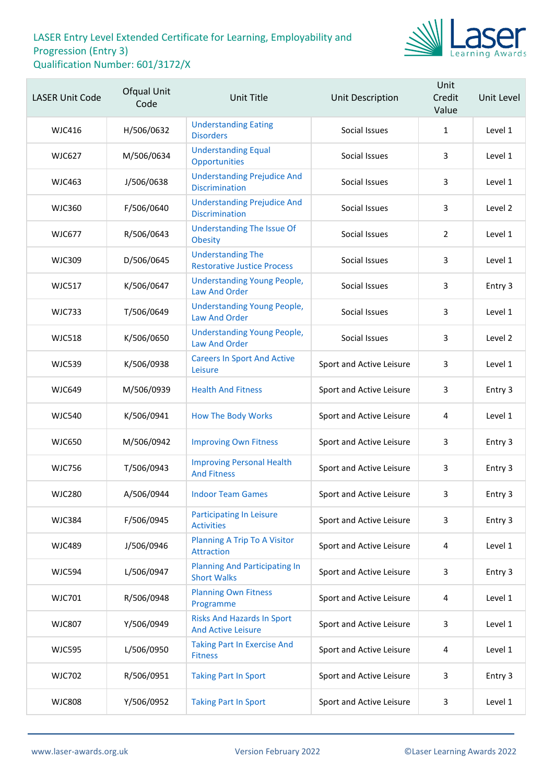

| <b>LASER Unit Code</b> | Ofqual Unit<br>Code | <b>Unit Title</b>                                              | Unit Description         | Unit<br>Credit<br>Value | Unit Level |
|------------------------|---------------------|----------------------------------------------------------------|--------------------------|-------------------------|------------|
| WJC416                 | H/506/0632          | <b>Understanding Eating</b><br><b>Disorders</b>                | Social Issues            | $\mathbf{1}$            | Level 1    |
| <b>WJC627</b>          | M/506/0634          | <b>Understanding Equal</b><br>Opportunities                    | Social Issues            | 3                       | Level 1    |
| <b>WJC463</b>          | J/506/0638          | <b>Understanding Prejudice And</b><br><b>Discrimination</b>    | Social Issues            | 3                       | Level 1    |
| <b>WJC360</b>          | F/506/0640          | <b>Understanding Prejudice And</b><br><b>Discrimination</b>    | Social Issues            | 3                       | Level 2    |
| <b>WJC677</b>          | R/506/0643          | <b>Understanding The Issue Of</b><br><b>Obesity</b>            | Social Issues            | $\overline{2}$          | Level 1    |
| <b>WJC309</b>          | D/506/0645          | <b>Understanding The</b><br><b>Restorative Justice Process</b> | Social Issues            | 3                       | Level 1    |
| <b>WJC517</b>          | K/506/0647          | <b>Understanding Young People,</b><br>Law And Order            | Social Issues            | 3                       | Entry 3    |
| <b>WJC733</b>          | T/506/0649          | <b>Understanding Young People,</b><br><b>Law And Order</b>     | Social Issues            | 3                       | Level 1    |
| <b>WJC518</b>          | K/506/0650          | <b>Understanding Young People,</b><br><b>Law And Order</b>     | Social Issues            | 3                       | Level 2    |
| <b>WJC539</b>          | K/506/0938          | <b>Careers In Sport And Active</b><br>Leisure                  | Sport and Active Leisure | 3                       | Level 1    |
| <b>WJC649</b>          | M/506/0939          | <b>Health And Fitness</b>                                      | Sport and Active Leisure | 3                       | Entry 3    |
| <b>WJC540</b>          | K/506/0941          | <b>How The Body Works</b>                                      | Sport and Active Leisure | 4                       | Level 1    |
| <b>WJC650</b>          | M/506/0942          | <b>Improving Own Fitness</b>                                   | Sport and Active Leisure | 3                       | Entry 3    |
| <b>WJC756</b>          | T/506/0943          | <b>Improving Personal Health</b><br><b>And Fitness</b>         | Sport and Active Leisure | 3                       | Entry 3    |
| <b>WJC280</b>          | A/506/0944          | <b>Indoor Team Games</b>                                       | Sport and Active Leisure | 3                       | Entry 3    |
| <b>WJC384</b>          | F/506/0945          | <b>Participating In Leisure</b><br><b>Activities</b>           | Sport and Active Leisure | 3                       | Entry 3    |
| <b>WJC489</b>          | J/506/0946          | <b>Planning A Trip To A Visitor</b><br>Attraction              | Sport and Active Leisure | 4                       | Level 1    |
| <b>WJC594</b>          | L/506/0947          | <b>Planning And Participating In</b><br><b>Short Walks</b>     | Sport and Active Leisure | 3                       | Entry 3    |
| <b>WJC701</b>          | R/506/0948          | <b>Planning Own Fitness</b><br>Programme                       | Sport and Active Leisure | 4                       | Level 1    |
| <b>WJC807</b>          | Y/506/0949          | <b>Risks And Hazards In Sport</b><br><b>And Active Leisure</b> | Sport and Active Leisure | 3                       | Level 1    |
| <b>WJC595</b>          | L/506/0950          | <b>Taking Part In Exercise And</b><br><b>Fitness</b>           | Sport and Active Leisure | 4                       | Level 1    |
| <b>WJC702</b>          | R/506/0951          | <b>Taking Part In Sport</b>                                    | Sport and Active Leisure | 3                       | Entry 3    |
| <b>WJC808</b>          | Y/506/0952          | <b>Taking Part In Sport</b>                                    | Sport and Active Leisure | 3                       | Level 1    |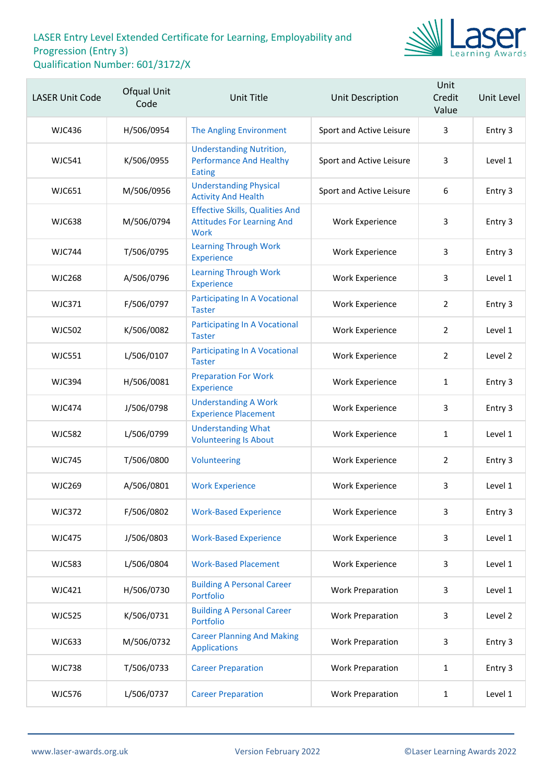

| <b>LASER Unit Code</b> | Ofqual Unit<br>Code | Unit Title                                                                                 | <b>Unit Description</b>  | Unit<br>Credit<br>Value | Unit Level |
|------------------------|---------------------|--------------------------------------------------------------------------------------------|--------------------------|-------------------------|------------|
| <b>WJC436</b>          | H/506/0954          | The Angling Environment                                                                    | Sport and Active Leisure | 3                       | Entry 3    |
| <b>WJC541</b>          | K/506/0955          | <b>Understanding Nutrition,</b><br><b>Performance And Healthy</b><br>Eating                | Sport and Active Leisure | 3                       | Level 1    |
| <b>WJC651</b>          | M/506/0956          | <b>Understanding Physical</b><br><b>Activity And Health</b>                                | Sport and Active Leisure | 6                       | Entry 3    |
| <b>WJC638</b>          | M/506/0794          | <b>Effective Skills, Qualities And</b><br><b>Attitudes For Learning And</b><br><b>Work</b> | <b>Work Experience</b>   | 3                       | Entry 3    |
| <b>WJC744</b>          | T/506/0795          | <b>Learning Through Work</b><br>Experience                                                 | <b>Work Experience</b>   | 3                       | Entry 3    |
| <b>WJC268</b>          | A/506/0796          | <b>Learning Through Work</b><br><b>Experience</b>                                          | <b>Work Experience</b>   | 3                       | Level 1    |
| <b>WJC371</b>          | F/506/0797          | <b>Participating In A Vocational</b><br><b>Taster</b>                                      | <b>Work Experience</b>   | $\overline{2}$          | Entry 3    |
| <b>WJC502</b>          | K/506/0082          | <b>Participating In A Vocational</b><br><b>Taster</b>                                      | <b>Work Experience</b>   | $\overline{2}$          | Level 1    |
| <b>WJC551</b>          | L/506/0107          | <b>Participating In A Vocational</b><br><b>Taster</b>                                      | <b>Work Experience</b>   | $\overline{2}$          | Level 2    |
| <b>WJC394</b>          | H/506/0081          | <b>Preparation For Work</b><br>Experience                                                  | <b>Work Experience</b>   | $\mathbf{1}$            | Entry 3    |
| <b>WJC474</b>          | J/506/0798          | <b>Understanding A Work</b><br><b>Experience Placement</b>                                 | <b>Work Experience</b>   | 3                       | Entry 3    |
| <b>WJC582</b>          | L/506/0799          | <b>Understanding What</b><br><b>Volunteering Is About</b>                                  | <b>Work Experience</b>   | $\mathbf{1}$            | Level 1    |
| <b>WJC745</b>          | T/506/0800          | Volunteering                                                                               | <b>Work Experience</b>   | $\overline{2}$          | Entry 3    |
| <b>WJC269</b>          | A/506/0801          | <b>Work Experience</b>                                                                     | <b>Work Experience</b>   | 3                       | Level 1    |
| <b>WJC372</b>          | F/506/0802          | <b>Work-Based Experience</b>                                                               | <b>Work Experience</b>   | 3                       | Entry 3    |
| <b>WJC475</b>          | J/506/0803          | <b>Work-Based Experience</b>                                                               | <b>Work Experience</b>   | 3                       | Level 1    |
| <b>WJC583</b>          | L/506/0804          | <b>Work-Based Placement</b>                                                                | <b>Work Experience</b>   | 3                       | Level 1    |
| <b>WJC421</b>          | H/506/0730          | <b>Building A Personal Career</b><br>Portfolio                                             | <b>Work Preparation</b>  | 3                       | Level 1    |
| <b>WJC525</b>          | K/506/0731          | <b>Building A Personal Career</b><br>Portfolio                                             | <b>Work Preparation</b>  | 3                       | Level 2    |
| <b>WJC633</b>          | M/506/0732          | <b>Career Planning And Making</b><br><b>Applications</b>                                   | <b>Work Preparation</b>  | 3                       | Entry 3    |
| <b>WJC738</b>          | T/506/0733          | <b>Career Preparation</b>                                                                  | <b>Work Preparation</b>  | 1                       | Entry 3    |
| <b>WJC576</b>          | L/506/0737          | <b>Career Preparation</b>                                                                  | <b>Work Preparation</b>  | $\mathbf{1}$            | Level 1    |